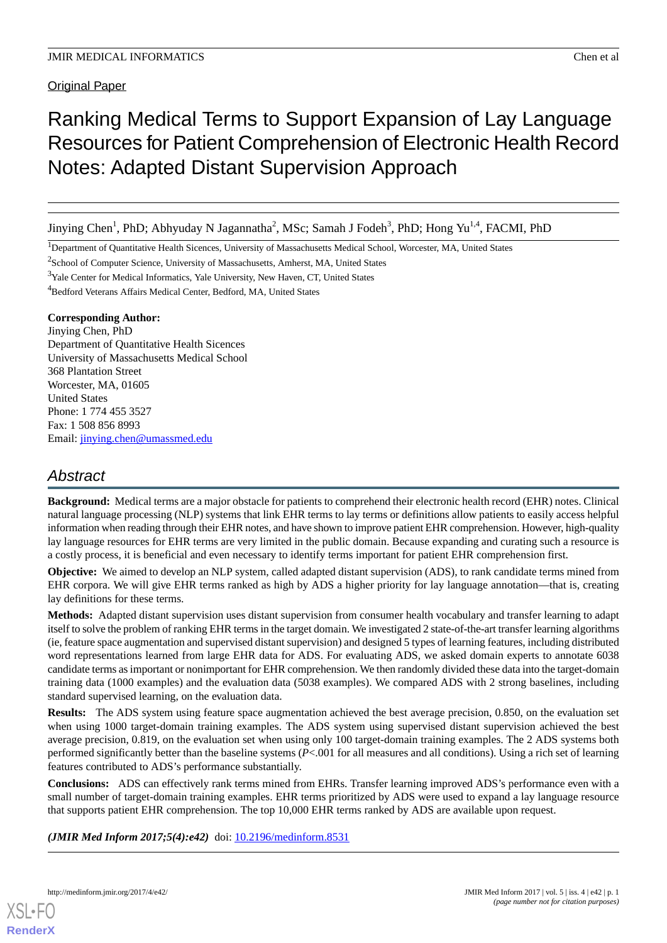**Original Paper** 

# Ranking Medical Terms to Support Expansion of Lay Language Resources for Patient Comprehension of Electronic Health Record Notes: Adapted Distant Supervision Approach

Jinying Chen<sup>1</sup>, PhD; Abhyuday N Jagannatha<sup>2</sup>, MSc; Samah J Fodeh<sup>3</sup>, PhD; Hong Yu<sup>1,4</sup>, FACMI, PhD

<sup>1</sup>Department of Quantitative Health Sicences, University of Massachusetts Medical School, Worcester, MA, United States

<sup>2</sup>School of Computer Science, University of Massachusetts, Amherst, MA, United States

<sup>3</sup>Yale Center for Medical Informatics, Yale University, New Haven, CT, United States

<sup>4</sup>Bedford Veterans Affairs Medical Center, Bedford, MA, United States

## **Corresponding Author:**

Jinying Chen, PhD Department of Quantitative Health Sicences University of Massachusetts Medical School 368 Plantation Street Worcester, MA, 01605 United States Phone: 1 774 455 3527 Fax: 1 508 856 8993 Email: [jinying.chen@umassmed.edu](mailto:jinying.chen@umassmed.edu)

## *Abstract*

**Background:** Medical terms are a major obstacle for patients to comprehend their electronic health record (EHR) notes. Clinical natural language processing (NLP) systems that link EHR terms to lay terms or definitions allow patients to easily access helpful information when reading through their EHR notes, and have shown to improve patient EHR comprehension. However, high-quality lay language resources for EHR terms are very limited in the public domain. Because expanding and curating such a resource is a costly process, it is beneficial and even necessary to identify terms important for patient EHR comprehension first.

**Objective:** We aimed to develop an NLP system, called adapted distant supervision (ADS), to rank candidate terms mined from EHR corpora. We will give EHR terms ranked as high by ADS a higher priority for lay language annotation—that is, creating lay definitions for these terms.

**Methods:** Adapted distant supervision uses distant supervision from consumer health vocabulary and transfer learning to adapt itself to solve the problem of ranking EHR terms in the target domain. We investigated 2 state-of-the-art transfer learning algorithms (ie, feature space augmentation and supervised distant supervision) and designed 5 types of learning features, including distributed word representations learned from large EHR data for ADS. For evaluating ADS, we asked domain experts to annotate 6038 candidate terms as important or nonimportant for EHR comprehension. We then randomly divided these data into the target-domain training data (1000 examples) and the evaluation data (5038 examples). We compared ADS with 2 strong baselines, including standard supervised learning, on the evaluation data.

**Results:** The ADS system using feature space augmentation achieved the best average precision, 0.850, on the evaluation set when using 1000 target-domain training examples. The ADS system using supervised distant supervision achieved the best average precision, 0.819, on the evaluation set when using only 100 target-domain training examples. The 2 ADS systems both performed significantly better than the baseline systems (*P*<.001 for all measures and all conditions). Using a rich set of learning features contributed to ADS's performance substantially.

**Conclusions:** ADS can effectively rank terms mined from EHRs. Transfer learning improved ADS's performance even with a small number of target-domain training examples. EHR terms prioritized by ADS were used to expand a lay language resource that supports patient EHR comprehension. The top 10,000 EHR terms ranked by ADS are available upon request.

*(JMIR Med Inform 2017;5(4):e42)* doi: [10.2196/medinform.8531](http://dx.doi.org/10.2196/medinform.8531)

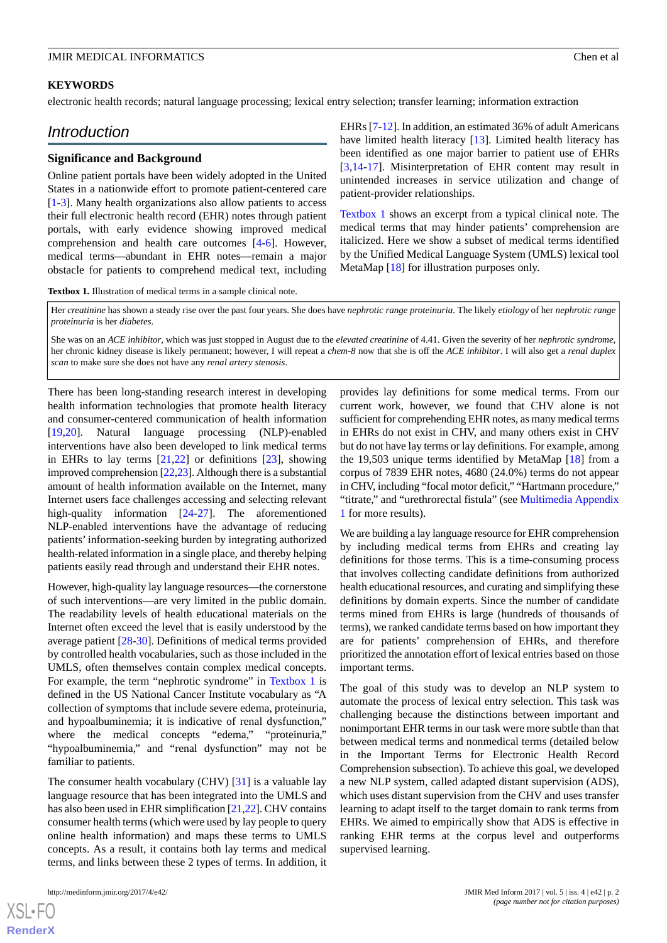#### **KEYWORDS**

electronic health records; natural language processing; lexical entry selection; transfer learning; information extraction

## *Introduction*

#### **Significance and Background**

Online patient portals have been widely adopted in the United States in a nationwide effort to promote patient-centered care [[1](#page-9-0)[-3](#page-9-1)]. Many health organizations also allow patients to access their full electronic health record (EHR) notes through patient portals, with early evidence showing improved medical comprehension and health care outcomes [[4-](#page-9-2)[6](#page-9-3)]. However, medical terms—abundant in EHR notes—remain a major obstacle for patients to comprehend medical text, including

EHRs [[7-](#page-9-4)[12](#page-10-0)]. In addition, an estimated 36% of adult Americans have limited health literacy [[13\]](#page-10-1). Limited health literacy has been identified as one major barrier to patient use of EHRs [[3](#page-9-1)[,14](#page-10-2)-[17\]](#page-10-3). Misinterpretation of EHR content may result in unintended increases in service utilization and change of patient-provider relationships.

[Textbox 1](#page-1-0) shows an excerpt from a typical clinical note. The medical terms that may hinder patients' comprehension are italicized. Here we show a subset of medical terms identified by the Unified Medical Language System (UMLS) lexical tool MetaMap [\[18](#page-10-4)] for illustration purposes only.

<span id="page-1-0"></span>**Textbox 1.** Illustration of medical terms in a sample clinical note.

Her *creatinine* has shown a steady rise over the past four years. She does have *nephrotic range proteinuria*. The likely *etiology* of her *nephrotic range proteinuria* is her *diabetes*.

She was on an *ACE inhibitor*, which was just stopped in August due to the *elevated creatinine* of 4.41. Given the severity of her *nephrotic syndrome*, her chronic kidney disease is likely permanent; however, I will repeat a *chem-8* now that she is off the *ACE inhibitor*. I will also get a *renal duplex scan* to make sure she does not have any *renal artery stenosis*.

There has been long-standing research interest in developing health information technologies that promote health literacy and consumer-centered communication of health information [[19](#page-10-5)[,20](#page-10-6)]. Natural language processing (NLP)-enabled interventions have also been developed to link medical terms in EHRs to lay terms [\[21](#page-10-7),[22\]](#page-10-8) or definitions [[23\]](#page-10-9), showing improved comprehension [\[22](#page-10-8)[,23](#page-10-9)]. Although there is a substantial amount of health information available on the Internet, many Internet users face challenges accessing and selecting relevant high-quality information [\[24](#page-10-10)[-27](#page-10-11)]. The aforementioned NLP-enabled interventions have the advantage of reducing patients'information-seeking burden by integrating authorized health-related information in a single place, and thereby helping patients easily read through and understand their EHR notes.

However, high-quality lay language resources—the cornerstone of such interventions—are very limited in the public domain. The readability levels of health educational materials on the Internet often exceed the level that is easily understood by the average patient [\[28](#page-10-12)-[30\]](#page-10-13). Definitions of medical terms provided by controlled health vocabularies, such as those included in the UMLS, often themselves contain complex medical concepts. For example, the term "nephrotic syndrome" in [Textbox 1](#page-1-0) is defined in the US National Cancer Institute vocabulary as "A collection of symptoms that include severe edema, proteinuria, and hypoalbuminemia; it is indicative of renal dysfunction," where the medical concepts "edema," "proteinuria," "hypoalbuminemia," and "renal dysfunction" may not be familiar to patients.

The consumer health vocabulary (CHV) [\[31](#page-10-14)] is a valuable lay language resource that has been integrated into the UMLS and has also been used in EHR simplification [\[21](#page-10-7),[22](#page-10-8)]. CHV contains consumer health terms (which were used by lay people to query online health information) and maps these terms to UMLS concepts. As a result, it contains both lay terms and medical terms, and links between these 2 types of terms. In addition, it

 $X$ SL•FO **[RenderX](http://www.renderx.com/)**

provides lay definitions for some medical terms. From our current work, however, we found that CHV alone is not sufficient for comprehending EHR notes, as many medical terms in EHRs do not exist in CHV, and many others exist in CHV but do not have lay terms or lay definitions. For example, among the 19,503 unique terms identified by MetaMap [\[18](#page-10-4)] from a corpus of 7839 EHR notes, 4680 (24.0%) terms do not appear in CHV, including "focal motor deficit," "Hartmann procedure," "titrate," and "urethrorectal fistula" (see [Multimedia Appendix](#page-9-5) [1](#page-9-5) for more results).

We are building a lay language resource for EHR comprehension by including medical terms from EHRs and creating lay definitions for those terms. This is a time-consuming process that involves collecting candidate definitions from authorized health educational resources, and curating and simplifying these definitions by domain experts. Since the number of candidate terms mined from EHRs is large (hundreds of thousands of terms), we ranked candidate terms based on how important they are for patients' comprehension of EHRs, and therefore prioritized the annotation effort of lexical entries based on those important terms.

The goal of this study was to develop an NLP system to automate the process of lexical entry selection. This task was challenging because the distinctions between important and nonimportant EHR terms in our task were more subtle than that between medical terms and nonmedical terms (detailed below in the Important Terms for Electronic Health Record Comprehension subsection). To achieve this goal, we developed a new NLP system, called adapted distant supervision (ADS), which uses distant supervision from the CHV and uses transfer learning to adapt itself to the target domain to rank terms from EHRs. We aimed to empirically show that ADS is effective in ranking EHR terms at the corpus level and outperforms supervised learning.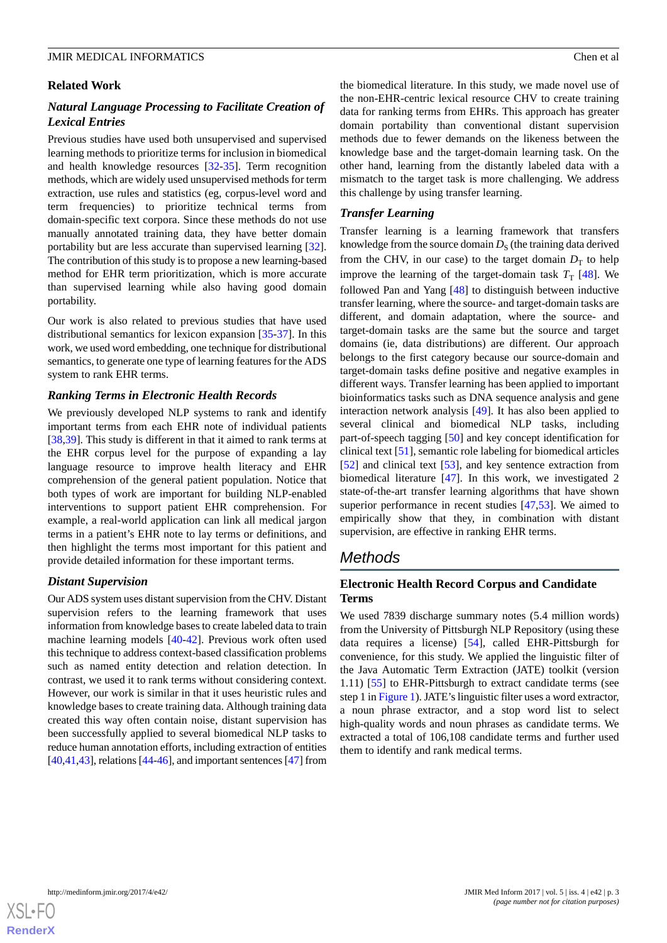#### **Related Work**

## *Natural Language Processing to Facilitate Creation of Lexical Entries*

Previous studies have used both unsupervised and supervised learning methods to prioritize terms for inclusion in biomedical and health knowledge resources [\[32](#page-10-15)[-35](#page-11-0)]. Term recognition methods, which are widely used unsupervised methods for term extraction, use rules and statistics (eg, corpus-level word and term frequencies) to prioritize technical terms from domain-specific text corpora. Since these methods do not use manually annotated training data, they have better domain portability but are less accurate than supervised learning [[32\]](#page-10-15). The contribution of this study is to propose a new learning-based method for EHR term prioritization, which is more accurate than supervised learning while also having good domain portability.

Our work is also related to previous studies that have used distributional semantics for lexicon expansion [\[35](#page-11-0)[-37](#page-11-1)]. In this work, we used word embedding, one technique for distributional semantics, to generate one type of learning features for the ADS system to rank EHR terms.

#### *Ranking Terms in Electronic Health Records*

We previously developed NLP systems to rank and identify important terms from each EHR note of individual patients [[38](#page-11-2)[,39](#page-11-3)]. This study is different in that it aimed to rank terms at the EHR corpus level for the purpose of expanding a lay language resource to improve health literacy and EHR comprehension of the general patient population. Notice that both types of work are important for building NLP-enabled interventions to support patient EHR comprehension. For example, a real-world application can link all medical jargon terms in a patient's EHR note to lay terms or definitions, and then highlight the terms most important for this patient and provide detailed information for these important terms.

#### *Distant Supervision*

Our ADS system uses distant supervision from the CHV. Distant supervision refers to the learning framework that uses information from knowledge bases to create labeled data to train machine learning models [[40](#page-11-4)[-42](#page-11-5)]. Previous work often used this technique to address context-based classification problems such as named entity detection and relation detection. In contrast, we used it to rank terms without considering context. However, our work is similar in that it uses heuristic rules and knowledge bases to create training data. Although training data created this way often contain noise, distant supervision has been successfully applied to several biomedical NLP tasks to reduce human annotation efforts, including extraction of entities  $[40,41,43]$  $[40,41,43]$  $[40,41,43]$  $[40,41,43]$  $[40,41,43]$ , relations  $[44-46]$  $[44-46]$  $[44-46]$ , and important sentences  $[47]$  $[47]$  from

the biomedical literature. In this study, we made novel use of the non-EHR-centric lexical resource CHV to create training data for ranking terms from EHRs. This approach has greater domain portability than conventional distant supervision methods due to fewer demands on the likeness between the knowledge base and the target-domain learning task. On the other hand, learning from the distantly labeled data with a mismatch to the target task is more challenging. We address this challenge by using transfer learning.

#### *Transfer Learning*

Transfer learning is a learning framework that transfers knowledge from the source domain  $D_{\rm S}$  (the training data derived from the CHV, in our case) to the target domain  $D<sub>T</sub>$  to help improve the learning of the target-domain task  $T<sub>T</sub>$  [[48\]](#page-11-11). We followed Pan and Yang [[48\]](#page-11-11) to distinguish between inductive transfer learning, where the source- and target-domain tasks are different, and domain adaptation, where the source- and target-domain tasks are the same but the source and target domains (ie, data distributions) are different. Our approach belongs to the first category because our source-domain and target-domain tasks define positive and negative examples in different ways. Transfer learning has been applied to important bioinformatics tasks such as DNA sequence analysis and gene interaction network analysis [[49\]](#page-11-12). It has also been applied to several clinical and biomedical NLP tasks, including part-of-speech tagging [\[50](#page-11-13)] and key concept identification for clinical text [[51\]](#page-11-14), semantic role labeling for biomedical articles [[52\]](#page-11-15) and clinical text [[53\]](#page-11-16), and key sentence extraction from biomedical literature [\[47](#page-11-10)]. In this work, we investigated 2 state-of-the-art transfer learning algorithms that have shown superior performance in recent studies [\[47](#page-11-10),[53\]](#page-11-16). We aimed to empirically show that they, in combination with distant supervision, are effective in ranking EHR terms.

## *Methods*

## **Electronic Health Record Corpus and Candidate Terms**

We used 7839 discharge summary notes (5.4 million words) from the University of Pittsburgh NLP Repository (using these data requires a license) [[54\]](#page-11-17), called EHR-Pittsburgh for convenience, for this study. We applied the linguistic filter of the Java Automatic Term Extraction (JATE) toolkit (version 1.11) [\[55](#page-11-18)] to EHR-Pittsburgh to extract candidate terms (see step 1 in [Figure 1\)](#page-3-0). JATE's linguistic filter uses a word extractor, a noun phrase extractor, and a stop word list to select high-quality words and noun phrases as candidate terms. We extracted a total of 106,108 candidate terms and further used them to identify and rank medical terms.

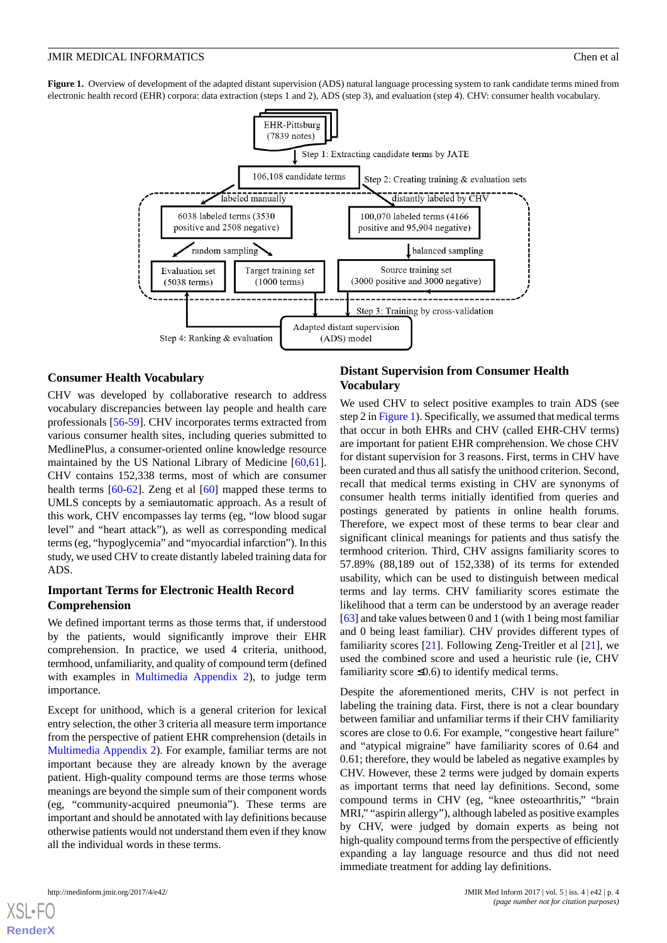<span id="page-3-0"></span>**Figure 1.** Overview of development of the adapted distant supervision (ADS) natural language processing system to rank candidate terms mined from electronic health record (EHR) corpora: data extraction (steps 1 and 2), ADS (step 3), and evaluation (step 4). CHV: consumer health vocabulary.



#### **Consumer Health Vocabulary**

CHV was developed by collaborative research to address vocabulary discrepancies between lay people and health care professionals [\[56](#page-12-0)[-59](#page-12-1)]. CHV incorporates terms extracted from various consumer health sites, including queries submitted to MedlinePlus, a consumer-oriented online knowledge resource maintained by the US National Library of Medicine [\[60](#page-12-2),[61\]](#page-12-3). CHV contains 152,338 terms, most of which are consumer health terms [[60-](#page-12-2)[62](#page-12-4)]. Zeng et al [[60\]](#page-12-2) mapped these terms to UMLS concepts by a semiautomatic approach. As a result of this work, CHV encompasses lay terms (eg, "low blood sugar level" and "heart attack"), as well as corresponding medical terms (eg, "hypoglycemia" and "myocardial infarction"). In this study, we used CHV to create distantly labeled training data for ADS.

#### **Important Terms for Electronic Health Record Comprehension**

We defined important terms as those terms that, if understood by the patients, would significantly improve their EHR comprehension. In practice, we used 4 criteria, unithood, termhood, unfamiliarity, and quality of compound term (defined with examples in [Multimedia Appendix 2](#page-9-6)), to judge term importance.

Except for unithood, which is a general criterion for lexical entry selection, the other 3 criteria all measure term importance from the perspective of patient EHR comprehension (details in [Multimedia Appendix 2\)](#page-9-6). For example, familiar terms are not important because they are already known by the average patient. High-quality compound terms are those terms whose meanings are beyond the simple sum of their component words (eg, "community-acquired pneumonia"). These terms are important and should be annotated with lay definitions because otherwise patients would not understand them even if they know all the individual words in these terms.

#### **Distant Supervision from Consumer Health Vocabulary**

We used CHV to select positive examples to train ADS (see step 2 in [Figure 1](#page-3-0)). Specifically, we assumed that medical terms that occur in both EHRs and CHV (called EHR-CHV terms) are important for patient EHR comprehension. We chose CHV for distant supervision for 3 reasons. First, terms in CHV have been curated and thus all satisfy the unithood criterion. Second, recall that medical terms existing in CHV are synonyms of consumer health terms initially identified from queries and postings generated by patients in online health forums. Therefore, we expect most of these terms to bear clear and significant clinical meanings for patients and thus satisfy the termhood criterion. Third, CHV assigns familiarity scores to 57.89% (88,189 out of 152,338) of its terms for extended usability, which can be used to distinguish between medical terms and lay terms. CHV familiarity scores estimate the likelihood that a term can be understood by an average reader [[63\]](#page-12-5) and take values between 0 and 1 (with 1 being most familiar and 0 being least familiar). CHV provides different types of familiarity scores [[21\]](#page-10-7). Following Zeng-Treitler et al [\[21](#page-10-7)], we used the combined score and used a heuristic rule (ie, CHV familiarity score  $\leq 0.6$ ) to identify medical terms.

Despite the aforementioned merits, CHV is not perfect in labeling the training data. First, there is not a clear boundary between familiar and unfamiliar terms if their CHV familiarity scores are close to 0.6. For example, "congestive heart failure" and "atypical migraine" have familiarity scores of 0.64 and 0.61; therefore, they would be labeled as negative examples by CHV. However, these 2 terms were judged by domain experts as important terms that need lay definitions. Second, some compound terms in CHV (eg, "knee osteoarthritis," "brain MRI," "aspirin allergy"), although labeled as positive examples by CHV, were judged by domain experts as being not high-quality compound terms from the perspective of efficiently expanding a lay language resource and thus did not need immediate treatment for adding lay definitions.

[XSL](http://www.w3.org/Style/XSL)•FO **[RenderX](http://www.renderx.com/)**

http://medinform.jmir.org/2017/4/e42/ JMIR Med Inform 2017 | vol. 5 | iss. 4 | e42 | p. 4 *(page number not for citation purposes)*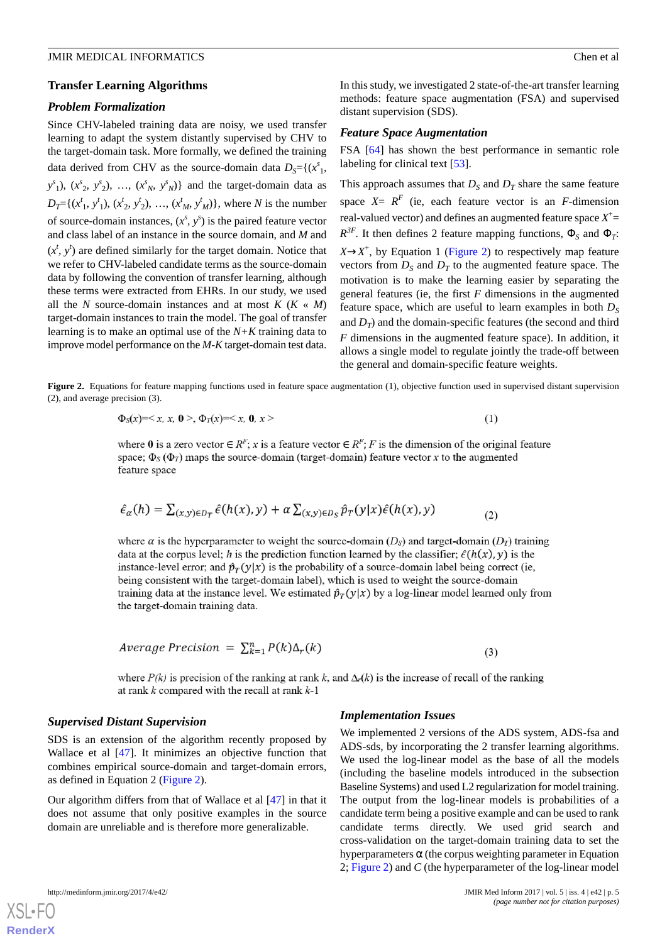#### **Transfer Learning Algorithms**

#### *Problem Formalization*

Since CHV-labeled training data are noisy, we used transfer learning to adapt the system distantly supervised by CHV to the target-domain task. More formally, we defined the training data derived from CHV as the source-domain data  $D<sub>S</sub> = \{(x<sup>s</sup><sub>1</sub>,$  $y^s$ <sub>1</sub>),  $(x^s$ <sub>2</sub>,  $y^s$ <sub>2</sub>), ...,  $(x^s$ <sub>N</sub>,  $y^s$ <sub>N</sub>)} and the target-domain data as  $D_T = \{(x_1^t, y_1^t), (x_2^t, y_2^t), ..., (x_M^t, y_M^t)\}$ , where *N* is the number of source-domain instances,  $(x^s, y^s)$  is the paired feature vector and class label of an instance in the source domain, and *M* and  $(x^t, y^t)$  are defined similarly for the target domain. Notice that we refer to CHV-labeled candidate terms as the source-domain data by following the convention of transfer learning, although these terms were extracted from EHRs. In our study, we used all the *N* source-domain instances and at most  $K$  ( $K \ll M$ ) target-domain instances to train the model. The goal of transfer learning is to make an optimal use of the *N+K* training data to improve model performance on the *M-K* target-domain test data.

In this study, we investigated 2 state-of-the-art transfer learning methods: feature space augmentation (FSA) and supervised distant supervision (SDS).

#### *Feature Space Augmentation*

FSA [\[64](#page-12-6)] has shown the best performance in semantic role labeling for clinical text [\[53](#page-11-16)].

This approach assumes that  $D_S$  and  $D_T$  share the same feature space  $X = R^F$  (ie, each feature vector is an *F*-dimension real-valued vector) and defines an augmented feature space  $X^{\pm}$  $R^{3F}$ . It then defines 2 feature mapping functions,  $\Phi_{S}$  and  $\Phi_{T}$ :  $X \rightarrow X^+$ , by Equation 1 [\(Figure 2\)](#page-4-0) to respectively map feature vectors from  $D<sub>S</sub>$  and  $D<sub>T</sub>$  to the augmented feature space. The motivation is to make the learning easier by separating the general features (ie, the first *F* dimensions in the augmented feature space, which are useful to learn examples in both  $D<sub>S</sub>$ and  $D_T$ ) and the domain-specific features (the second and third *F* dimensions in the augmented feature space). In addition, it allows a single model to regulate jointly the trade-off between the general and domain-specific feature weights.

<span id="page-4-0"></span>**Figure 2.** Equations for feature mapping functions used in feature space augmentation (1), objective function used in supervised distant supervision (2), and average precision (3).

$$
\Phi_{S}(x) = \langle x, x, 0 \rangle, \Phi_{T}(x) = \langle x, 0, x \rangle \tag{1}
$$

where 0 is a zero vector  $\in R^F$ ; x is a feature vector  $\in R^F$ ; F is the dimension of the original feature space;  $\Phi_s(\Phi_T)$  maps the source-domain (target-domain) feature vector x to the augmented feature space

$$
\hat{\epsilon}_{\alpha}(h) = \sum_{(x,y)\in D_T} \hat{\epsilon}(h(x),y) + \alpha \sum_{(x,y)\in D_S} \hat{p}_T(y|x)\hat{\epsilon}(h(x),y) \tag{2}
$$

where  $\alpha$  is the hyperparameter to weight the source-domain (D<sub>s</sub>) and target-domain (D<sub>T</sub>) training data at the corpus level; h is the prediction function learned by the classifier;  $\hat{\epsilon}(h(x), y)$  is the instance-level error; and  $\hat{p}_T(y|x)$  is the probability of a source-domain label being correct (ie, being consistent with the target-domain label), which is used to weight the source-domain training data at the instance level. We estimated  $\hat{p}_T(y|x)$  by a log-linear model learned only from the target-domain training data.

$$
Average Precision = \sum_{k=1}^{n} P(k) \Delta_r(k)
$$

 $(3)$ 

where  $P(k)$  is precision of the ranking at rank k, and  $\Delta_r(k)$  is the increase of recall of the ranking at rank  $k$  compared with the recall at rank  $k$ -1

#### *Supervised Distant Supervision*

SDS is an extension of the algorithm recently proposed by Wallace et al [\[47](#page-11-10)]. It minimizes an objective function that combines empirical source-domain and target-domain errors, as defined in Equation 2 [\(Figure 2\)](#page-4-0).

Our algorithm differs from that of Wallace et al [\[47](#page-11-10)] in that it does not assume that only positive examples in the source domain are unreliable and is therefore more generalizable.

#### *Implementation Issues*

We implemented 2 versions of the ADS system, ADS-fsa and ADS-sds, by incorporating the 2 transfer learning algorithms. We used the log-linear model as the base of all the models (including the baseline models introduced in the subsection Baseline Systems) and used L2 regularization for model training. The output from the log-linear models is probabilities of a candidate term being a positive example and can be used to rank candidate terms directly. We used grid search and cross-validation on the target-domain training data to set the hyperparameters  $\alpha$  (the corpus weighting parameter in Equation 2; [Figure 2](#page-4-0)) and *C* (the hyperparameter of the log-linear model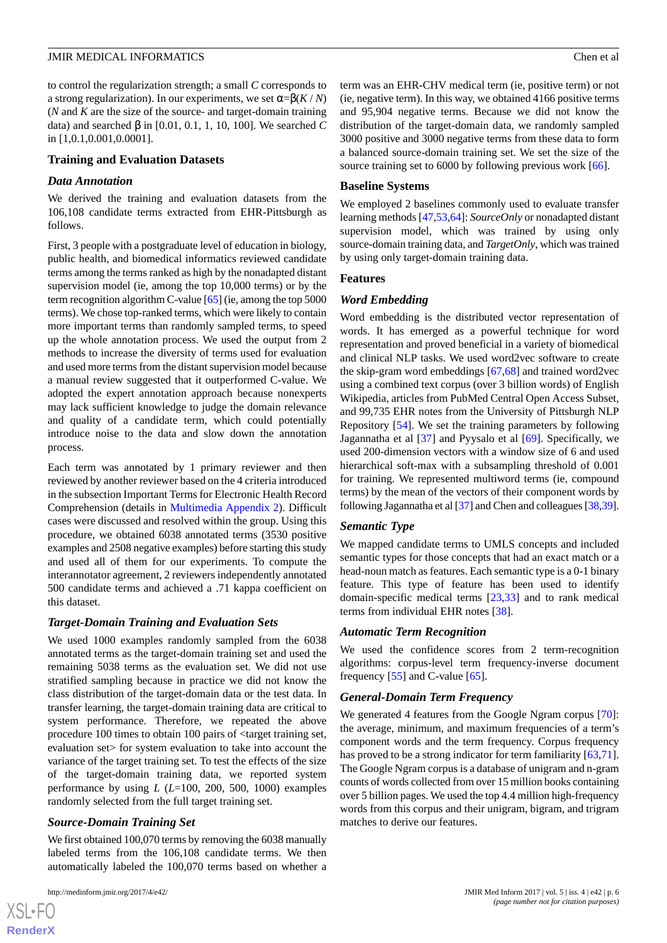to control the regularization strength; a small *C* corresponds to a strong regularization). In our experiments, we set  $\alpha = \beta(K/N)$ (*N* and *K* are the size of the source- and target-domain training data) and searched β in [0.01, 0.1, 1, 10, 100]. We searched *C* in [1,0.1,0.001,0.0001].

#### **Training and Evaluation Datasets**

#### *Data Annotation*

We derived the training and evaluation datasets from the 106,108 candidate terms extracted from EHR-Pittsburgh as follows.

First, 3 people with a postgraduate level of education in biology, public health, and biomedical informatics reviewed candidate terms among the terms ranked as high by the nonadapted distant supervision model (ie, among the top 10,000 terms) or by the term recognition algorithm C-value [\[65\]](#page-12-7) (ie, among the top 5000 terms). We chose top-ranked terms, which were likely to contain more important terms than randomly sampled terms, to speed up the whole annotation process. We used the output from 2 methods to increase the diversity of terms used for evaluation and used more terms from the distant supervision model because a manual review suggested that it outperformed C-value. We adopted the expert annotation approach because nonexperts may lack sufficient knowledge to judge the domain relevance and quality of a candidate term, which could potentially introduce noise to the data and slow down the annotation process.

Each term was annotated by 1 primary reviewer and then reviewed by another reviewer based on the 4 criteria introduced in the subsection Important Terms for Electronic Health Record Comprehension (details in [Multimedia Appendix 2\)](#page-9-6). Difficult cases were discussed and resolved within the group. Using this procedure, we obtained 6038 annotated terms (3530 positive examples and 2508 negative examples) before starting this study and used all of them for our experiments. To compute the interannotator agreement, 2 reviewers independently annotated 500 candidate terms and achieved a .71 kappa coefficient on this dataset.

#### *Target-Domain Training and Evaluation Sets*

We used 1000 examples randomly sampled from the 6038 annotated terms as the target-domain training set and used the remaining 5038 terms as the evaluation set. We did not use stratified sampling because in practice we did not know the class distribution of the target-domain data or the test data. In transfer learning, the target-domain training data are critical to system performance. Therefore, we repeated the above procedure 100 times to obtain 100 pairs of <target training set, evaluation set> for system evaluation to take into account the variance of the target training set. To test the effects of the size of the target-domain training data, we reported system performance by using *L* (*L*=100, 200, 500, 1000) examples randomly selected from the full target training set.

#### *Source-Domain Training Set*

We first obtained 100,070 terms by removing the 6038 manually labeled terms from the 106,108 candidate terms. We then automatically labeled the 100,070 terms based on whether a

 $XSI - F($ **[RenderX](http://www.renderx.com/)** term was an EHR-CHV medical term (ie, positive term) or not (ie, negative term). In this way, we obtained 4166 positive terms and 95,904 negative terms. Because we did not know the distribution of the target-domain data, we randomly sampled 3000 positive and 3000 negative terms from these data to form a balanced source-domain training set. We set the size of the source training set to 6000 by following previous work [[66\]](#page-12-8).

#### **Baseline Systems**

We employed 2 baselines commonly used to evaluate transfer learning methods [\[47,](#page-11-10)[53](#page-11-16),[64\]](#page-12-6): *SourceOnly* or nonadapted distant supervision model, which was trained by using only source-domain training data, and *TargetOnly*, which was trained by using only target-domain training data.

#### **Features**

#### *Word Embedding*

Word embedding is the distributed vector representation of words. It has emerged as a powerful technique for word representation and proved beneficial in a variety of biomedical and clinical NLP tasks. We used word2vec software to create the skip-gram word embeddings [\[67](#page-12-9),[68\]](#page-12-10) and trained word2vec using a combined text corpus (over 3 billion words) of English Wikipedia, articles from PubMed Central Open Access Subset, and 99,735 EHR notes from the University of Pittsburgh NLP Repository [\[54](#page-11-17)]. We set the training parameters by following Jagannatha et al [[37\]](#page-11-1) and Pyysalo et al [\[69](#page-12-11)]. Specifically, we used 200-dimension vectors with a window size of 6 and used hierarchical soft-max with a subsampling threshold of 0.001 for training. We represented multiword terms (ie, compound terms) by the mean of the vectors of their component words by following Jagannatha et al [\[37](#page-11-1)] and Chen and colleagues [\[38](#page-11-2)[,39](#page-11-3)].

#### *Semantic Type*

We mapped candidate terms to UMLS concepts and included semantic types for those concepts that had an exact match or a head-noun match as features. Each semantic type is a 0-1 binary feature. This type of feature has been used to identify domain-specific medical terms [\[23](#page-10-9)[,33](#page-10-16)] and to rank medical terms from individual EHR notes [\[38](#page-11-2)].

#### *Automatic Term Recognition*

We used the confidence scores from 2 term-recognition algorithms: corpus-level term frequency-inverse document frequency  $[55]$  $[55]$  and C-value  $[65]$  $[65]$ .

#### *General-Domain Term Frequency*

We generated 4 features from the Google Ngram corpus [[70\]](#page-12-12): the average, minimum, and maximum frequencies of a term's component words and the term frequency. Corpus frequency has proved to be a strong indicator for term familiarity [\[63](#page-12-5),[71\]](#page-12-13). The Google Ngram corpus is a database of unigram and n-gram counts of words collected from over 15 million books containing over 5 billion pages. We used the top 4.4 million high-frequency words from this corpus and their unigram, bigram, and trigram matches to derive our features.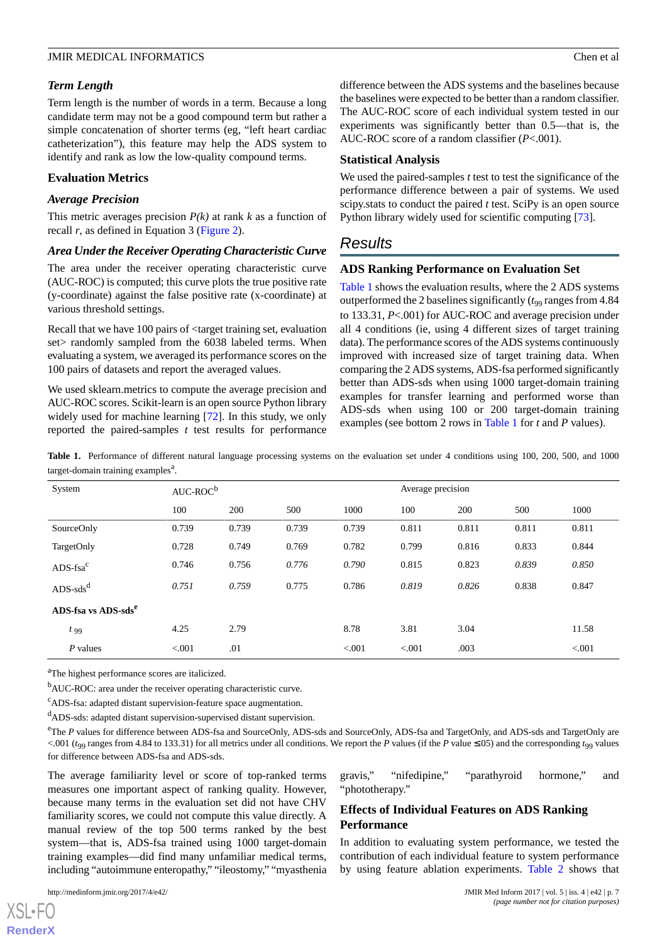## *Term Length*

Term length is the number of words in a term. Because a long candidate term may not be a good compound term but rather a simple concatenation of shorter terms (eg, "left heart cardiac catheterization"), this feature may help the ADS system to identify and rank as low the low-quality compound terms.

## **Evaluation Metrics**

#### *Average Precision*

This metric averages precision  $P(k)$  at rank  $k$  as a function of recall *r*, as defined in Equation 3 ([Figure 2\)](#page-4-0).

#### *Area Under the Receiver Operating Characteristic Curve*

The area under the receiver operating characteristic curve (AUC-ROC) is computed; this curve plots the true positive rate (y-coordinate) against the false positive rate (x-coordinate) at various threshold settings.

Recall that we have 100 pairs of <target training set, evaluation set > randomly sampled from the 6038 labeled terms. When evaluating a system, we averaged its performance scores on the 100 pairs of datasets and report the averaged values.

<span id="page-6-0"></span>We used sklearn.metrics to compute the average precision and AUC-ROC scores. Scikit-learn is an open source Python library widely used for machine learning [[72\]](#page-12-14). In this study, we only reported the paired-samples *t* test results for performance difference between the ADS systems and the baselines because the baselines were expected to be better than a random classifier. The AUC-ROC score of each individual system tested in our experiments was significantly better than 0.5—that is, the AUC-ROC score of a random classifier (*P*<.001).

#### **Statistical Analysis**

We used the paired-samples *t* test to test the significance of the performance difference between a pair of systems. We used scipy.stats to conduct the paired *t* test. SciPy is an open source Python library widely used for scientific computing [[73\]](#page-12-15).

## *Results*

#### **ADS Ranking Performance on Evaluation Set**

[Table 1](#page-6-0) shows the evaluation results, where the 2 ADS systems outperformed the 2 baselines significantly  $(t_{99})$  ranges from 4.84 to 133.31, *P*<.001) for AUC-ROC and average precision under all 4 conditions (ie, using 4 different sizes of target training data). The performance scores of the ADS systems continuously improved with increased size of target training data. When comparing the 2 ADS systems, ADS-fsa performed significantly better than ADS-sds when using 1000 target-domain training examples for transfer learning and performed worse than ADS-sds when using 100 or 200 target-domain training examples (see bottom 2 rows in [Table 1](#page-6-0) for *t* and *P* values).

Table 1. Performance of different natural language processing systems on the evaluation set under 4 conditions using 100, 200, 500, and 1000 target-domain training examples<sup>a</sup>.

| System                          | $AUC-ROC^b$ |       |       |         | Average precision |       |       |         |
|---------------------------------|-------------|-------|-------|---------|-------------------|-------|-------|---------|
|                                 | 100         | 200   | 500   | 1000    | 100               | 200   | 500   | 1000    |
| SourceOnly                      | 0.739       | 0.739 | 0.739 | 0.739   | 0.811             | 0.811 | 0.811 | 0.811   |
| TargetOnly                      | 0.728       | 0.749 | 0.769 | 0.782   | 0.799             | 0.816 | 0.833 | 0.844   |
| $ADS$ -fsa $c$                  | 0.746       | 0.756 | 0.776 | 0.790   | 0.815             | 0.823 | 0.839 | 0.850   |
| $ADS - sdsd$                    | 0.751       | 0.759 | 0.775 | 0.786   | 0.819             | 0.826 | 0.838 | 0.847   |
| ADS-fsa vs ADS-sds <sup>e</sup> |             |       |       |         |                   |       |       |         |
| $t_{99}$                        | 4.25        | 2.79  |       | 8.78    | 3.81              | 3.04  |       | 11.58   |
| $P$ values                      | < 0.001     | .01   |       | < 0.001 | < 0.001           | .003  |       | < 0.001 |

<sup>a</sup>The highest performance scores are italicized.

<sup>b</sup>AUC-ROC: area under the receiver operating characteristic curve.

<sup>c</sup>ADS-fsa: adapted distant supervision-feature space augmentation.

<sup>d</sup>ADS-sds: adapted distant supervision-supervised distant supervision.

<sup>e</sup>The *P* values for difference between ADS-fsa and SourceOnly, ADS-sds and SourceOnly, ADS-fsa and TargetOnly, and ADS-sds and TargetOnly are <.001 ( $t_{99}$  ranges from 4.84 to 133.31) for all metrics under all conditions. We report the *P* values (if the *P* value ≤.05) and the corresponding  $t_{99}$  values for difference between ADS-fsa and ADS-sds.

The average familiarity level or score of top-ranked terms measures one important aspect of ranking quality. However, because many terms in the evaluation set did not have CHV familiarity scores, we could not compute this value directly. A manual review of the top 500 terms ranked by the best system—that is, ADS-fsa trained using 1000 target-domain training examples—did find many unfamiliar medical terms, including "autoimmune enteropathy," "ileostomy," "myasthenia

gravis," "nifedipine," "parathyroid hormone," and "phototherapy."

## **Effects of Individual Features on ADS Ranking Performance**

In addition to evaluating system performance, we tested the contribution of each individual feature to system performance by using feature ablation experiments. [Table 2](#page-7-0) shows that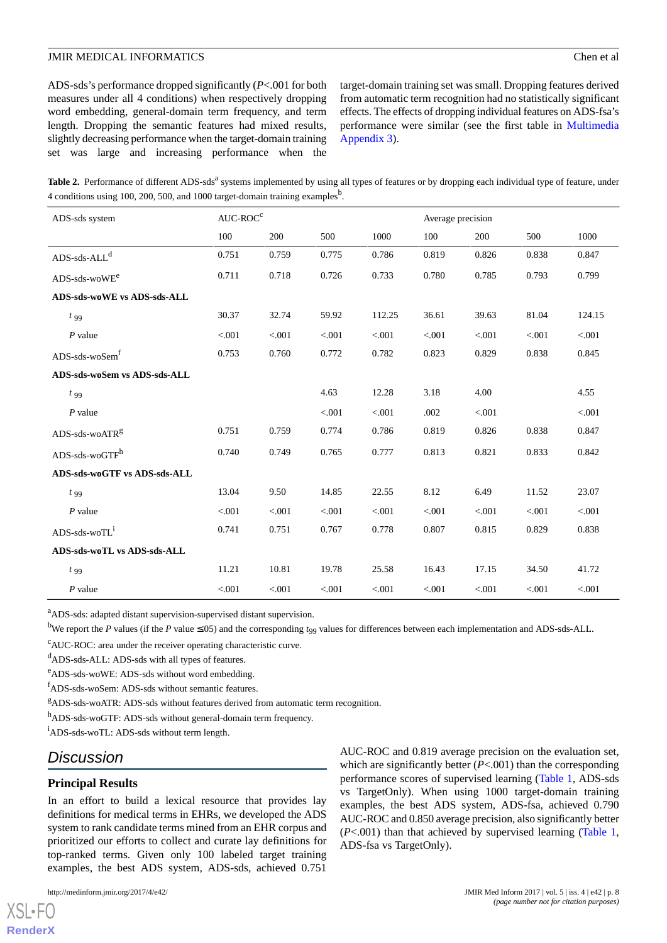ADS-sds's performance dropped significantly (*P*<.001 for both measures under all 4 conditions) when respectively dropping word embedding, general-domain term frequency, and term length. Dropping the semantic features had mixed results, slightly decreasing performance when the target-domain training set was large and increasing performance when the target-domain training set was small. Dropping features derived from automatic term recognition had no statistically significant effects. The effects of dropping individual features on ADS-fsa's performance were similar (see the first table in [Multimedia](#page-9-7) [Appendix 3\)](#page-9-7).

<span id="page-7-0"></span>Table 2. Performance of different ADS-sds<sup>a</sup> systems implemented by using all types of features or by dropping each individual type of feature, under 4 conditions using 100, 200, 500, and 1000 target-domain training examples<sup>b</sup>.

| ADS-sds system                   | $AUC-ROCc$ |         |         |         | Average precision |         |         |         |
|----------------------------------|------------|---------|---------|---------|-------------------|---------|---------|---------|
|                                  | 100        | 200     | 500     | 1000    | 100               | 200     | 500     | 1000    |
| $ADS\text{-}sds\text{-}ALL^d$    | 0.751      | 0.759   | 0.775   | 0.786   | 0.819             | 0.826   | 0.838   | 0.847   |
| $ADS$ -sds-wo $WE^e$             | 0.711      | 0.718   | 0.726   | 0.733   | 0.780             | 0.785   | 0.793   | 0.799   |
| ADS-sds-woWE vs ADS-sds-ALL      |            |         |         |         |                   |         |         |         |
| $t_{99}$                         | 30.37      | 32.74   | 59.92   | 112.25  | 36.61             | 39.63   | 81.04   | 124.15  |
| $P$ value                        | < 0.001    | < 0.001 | < 0.001 | < 0.001 | < 0.001           | < 0.001 | < 0.001 | < 0.001 |
| ADS-sds-woSem <sup>f</sup>       | 0.753      | 0.760   | 0.772   | 0.782   | 0.823             | 0.829   | 0.838   | 0.845   |
| ADS-sds-woSem vs ADS-sds-ALL     |            |         |         |         |                   |         |         |         |
| $t_{99}$                         |            |         | 4.63    | 12.28   | 3.18              | 4.00    |         | 4.55    |
| $P$ value                        |            |         | < 0.001 | < 0.001 | .002              | < 0.001 |         | < 0.001 |
| ADS-sds-woATRg                   | 0.751      | 0.759   | 0.774   | 0.786   | 0.819             | 0.826   | 0.838   | 0.847   |
| $ADS$ -sds-wo $GTF$ <sup>h</sup> | 0.740      | 0.749   | 0.765   | 0.777   | 0.813             | 0.821   | 0.833   | 0.842   |
| ADS-sds-woGTF vs ADS-sds-ALL     |            |         |         |         |                   |         |         |         |
| $t_{99}$                         | 13.04      | 9.50    | 14.85   | 22.55   | 8.12              | 6.49    | 11.52   | 23.07   |
| $P$ value                        | < 0.001    | < .001  | < 0.001 | < 0.001 | < 0.001           | < 0.001 | < 0.001 | < 0.001 |
| ADS-sds-woTL <sup>1</sup>        | 0.741      | 0.751   | 0.767   | 0.778   | 0.807             | 0.815   | 0.829   | 0.838   |
| ADS-sds-woTL vs ADS-sds-ALL      |            |         |         |         |                   |         |         |         |
| $t_{99}$                         | 11.21      | 10.81   | 19.78   | 25.58   | 16.43             | 17.15   | 34.50   | 41.72   |
| $P$ value                        | < 0.001    | < .001  | < 0.001 | < 0.001 | < 0.001           | < 0.001 | < 0.001 | < 0.001 |

<sup>a</sup>ADS-sds: adapted distant supervision-supervised distant supervision.

<sup>b</sup>We report the *P* values (if the *P* value  $\leq$ .05) and the corresponding  $t_{99}$  values for differences between each implementation and ADS-sds-ALL.

<sup>c</sup>AUC-ROC: area under the receiver operating characteristic curve.

<sup>d</sup>ADS-sds-ALL: ADS-sds with all types of features.

<sup>e</sup>ADS-sds-woWE: ADS-sds without word embedding.

<sup>f</sup>ADS-sds-woSem: ADS-sds without semantic features.

<sup>g</sup>ADS-sds-woATR: ADS-sds without features derived from automatic term recognition.

hADS-sds-woGTF: ADS-sds without general-domain term frequency.

<sup>i</sup>ADS-sds-woTL: ADS-sds without term length.

## *Discussion*

#### **Principal Results**

In an effort to build a lexical resource that provides lay definitions for medical terms in EHRs, we developed the ADS system to rank candidate terms mined from an EHR corpus and prioritized our efforts to collect and curate lay definitions for top-ranked terms. Given only 100 labeled target training examples, the best ADS system, ADS-sds, achieved 0.751

AUC-ROC and 0.819 average precision on the evaluation set, which are significantly better (*P*<.001) than the corresponding performance scores of supervised learning [\(Table 1](#page-6-0), ADS-sds vs TargetOnly). When using 1000 target-domain training examples, the best ADS system, ADS-fsa, achieved 0.790 AUC-ROC and 0.850 average precision, also significantly better (*P*<.001) than that achieved by supervised learning ([Table 1](#page-6-0), ADS-fsa vs TargetOnly).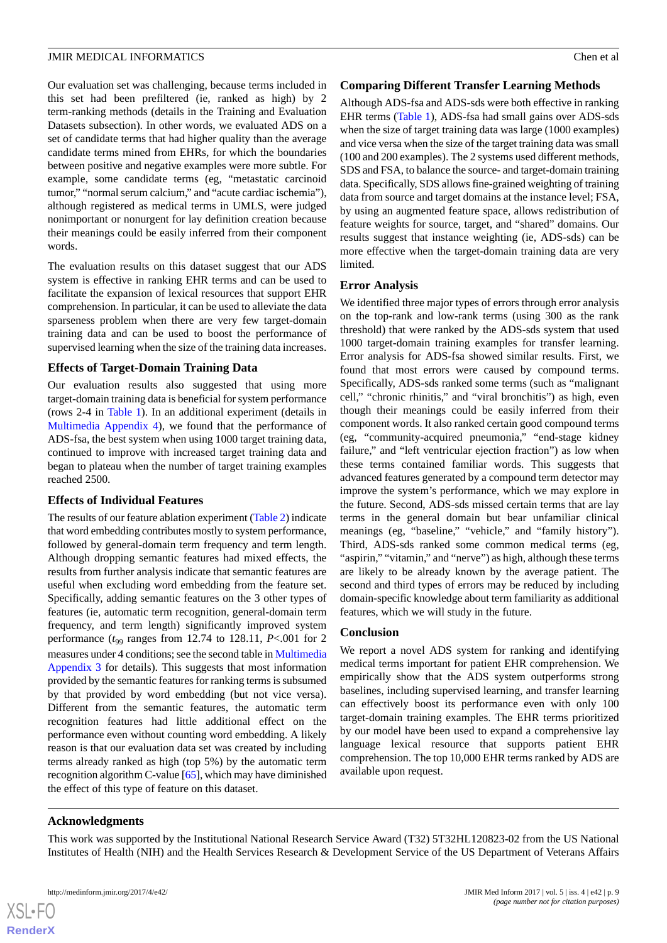Our evaluation set was challenging, because terms included in this set had been prefiltered (ie, ranked as high) by 2 term-ranking methods (details in the Training and Evaluation Datasets subsection). In other words, we evaluated ADS on a set of candidate terms that had higher quality than the average candidate terms mined from EHRs, for which the boundaries between positive and negative examples were more subtle. For example, some candidate terms (eg, "metastatic carcinoid tumor," "normal serum calcium," and "acute cardiac ischemia"), although registered as medical terms in UMLS, were judged nonimportant or nonurgent for lay definition creation because their meanings could be easily inferred from their component words.

The evaluation results on this dataset suggest that our ADS system is effective in ranking EHR terms and can be used to facilitate the expansion of lexical resources that support EHR comprehension. In particular, it can be used to alleviate the data sparseness problem when there are very few target-domain training data and can be used to boost the performance of supervised learning when the size of the training data increases.

#### **Effects of Target-Domain Training Data**

Our evaluation results also suggested that using more target-domain training data is beneficial for system performance (rows 2-4 in [Table 1](#page-6-0)). In an additional experiment (details in [Multimedia Appendix 4](#page-9-8)), we found that the performance of ADS-fsa, the best system when using 1000 target training data, continued to improve with increased target training data and began to plateau when the number of target training examples reached 2500.

#### **Effects of Individual Features**

The results of our feature ablation experiment [\(Table 2\)](#page-7-0) indicate that word embedding contributes mostly to system performance, followed by general-domain term frequency and term length. Although dropping semantic features had mixed effects, the results from further analysis indicate that semantic features are useful when excluding word embedding from the feature set. Specifically, adding semantic features on the 3 other types of features (ie, automatic term recognition, general-domain term frequency, and term length) significantly improved system performance  $(t_{99}$  ranges from 12.74 to 128.11,  $P < .001$  for 2 measures under 4 conditions; see the second table in [Multimedia](#page-9-7) [Appendix 3](#page-9-7) for details). This suggests that most information provided by the semantic features for ranking terms is subsumed by that provided by word embedding (but not vice versa). Different from the semantic features, the automatic term recognition features had little additional effect on the performance even without counting word embedding. A likely reason is that our evaluation data set was created by including terms already ranked as high (top 5%) by the automatic term recognition algorithm C-value [\[65](#page-12-7)], which may have diminished the effect of this type of feature on this dataset.

#### **Comparing Different Transfer Learning Methods**

Although ADS-fsa and ADS-sds were both effective in ranking EHR terms ([Table 1](#page-6-0)), ADS-fsa had small gains over ADS-sds when the size of target training data was large (1000 examples) and vice versa when the size of the target training data was small (100 and 200 examples). The 2 systems used different methods, SDS and FSA, to balance the source- and target-domain training data. Specifically, SDS allows fine-grained weighting of training data from source and target domains at the instance level; FSA, by using an augmented feature space, allows redistribution of feature weights for source, target, and "shared" domains. Our results suggest that instance weighting (ie, ADS-sds) can be more effective when the target-domain training data are very limited.

#### **Error Analysis**

We identified three major types of errors through error analysis on the top-rank and low-rank terms (using 300 as the rank threshold) that were ranked by the ADS-sds system that used 1000 target-domain training examples for transfer learning. Error analysis for ADS-fsa showed similar results. First, we found that most errors were caused by compound terms. Specifically, ADS-sds ranked some terms (such as "malignant cell," "chronic rhinitis," and "viral bronchitis") as high, even though their meanings could be easily inferred from their component words. It also ranked certain good compound terms (eg, "community-acquired pneumonia," "end-stage kidney failure," and "left ventricular ejection fraction") as low when these terms contained familiar words. This suggests that advanced features generated by a compound term detector may improve the system's performance, which we may explore in the future. Second, ADS-sds missed certain terms that are lay terms in the general domain but bear unfamiliar clinical meanings (eg, "baseline," "vehicle," and "family history"). Third, ADS-sds ranked some common medical terms (eg, "aspirin," "vitamin," and "nerve") as high, although these terms are likely to be already known by the average patient. The second and third types of errors may be reduced by including domain-specific knowledge about term familiarity as additional features, which we will study in the future.

#### **Conclusion**

We report a novel ADS system for ranking and identifying medical terms important for patient EHR comprehension. We empirically show that the ADS system outperforms strong baselines, including supervised learning, and transfer learning can effectively boost its performance even with only 100 target-domain training examples. The EHR terms prioritized by our model have been used to expand a comprehensive lay language lexical resource that supports patient EHR comprehension. The top 10,000 EHR terms ranked by ADS are available upon request.

#### **Acknowledgments**

This work was supported by the Institutional National Research Service Award (T32) 5T32HL120823-02 from the US National Institutes of Health (NIH) and the Health Services Research & Development Service of the US Department of Veterans Affairs

 $XSI - F($ **[RenderX](http://www.renderx.com/)**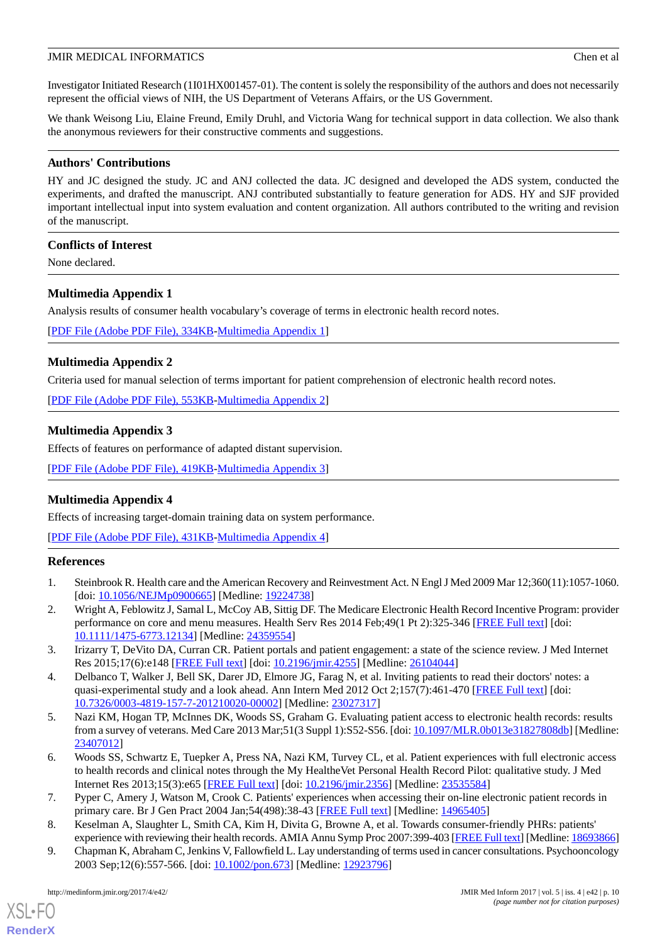Investigator Initiated Research (1I01HX001457-01). The content is solely the responsibility of the authors and does not necessarily represent the official views of NIH, the US Department of Veterans Affairs, or the US Government.

We thank Weisong Liu, Elaine Freund, Emily Druhl, and Victoria Wang for technical support in data collection. We also thank the anonymous reviewers for their constructive comments and suggestions.

## **Authors' Contributions**

HY and JC designed the study. JC and ANJ collected the data. JC designed and developed the ADS system, conducted the experiments, and drafted the manuscript. ANJ contributed substantially to feature generation for ADS. HY and SJF provided important intellectual input into system evaluation and content organization. All authors contributed to the writing and revision of the manuscript.

## **Conflicts of Interest**

<span id="page-9-5"></span>None declared.

## **Multimedia Appendix 1**

Analysis results of consumer health vocabulary's coverage of terms in electronic health record notes.

<span id="page-9-6"></span>[[PDF File \(Adobe PDF File\), 334KB-Multimedia Appendix 1](https://jmir.org/api/download?alt_name=medinform_v5i4e42_app1.pdf&filename=55ab8019abe651b964620fafc09304a9.pdf)]

## **Multimedia Appendix 2**

<span id="page-9-7"></span>Criteria used for manual selection of terms important for patient comprehension of electronic health record notes.

[[PDF File \(Adobe PDF File\), 553KB-Multimedia Appendix 2](https://jmir.org/api/download?alt_name=medinform_v5i4e42_app2.pdf&filename=5a08fd6a7d769bc563864d08944e5e03.pdf)]

## **Multimedia Appendix 3**

<span id="page-9-8"></span>Effects of features on performance of adapted distant supervision.

[[PDF File \(Adobe PDF File\), 419KB-Multimedia Appendix 3](https://jmir.org/api/download?alt_name=medinform_v5i4e42_app3.pdf&filename=fa04f012ddf2ae4932c9cbd92743d642.pdf)]

## **Multimedia Appendix 4**

<span id="page-9-0"></span>Effects of increasing target-domain training data on system performance.

[[PDF File \(Adobe PDF File\), 431KB-Multimedia Appendix 4](https://jmir.org/api/download?alt_name=medinform_v5i4e42_app4.pdf&filename=8647f31a0038981ebc5ae1b263f4584b.pdf)]

## **References**

- <span id="page-9-1"></span>1. Steinbrook R. Health care and the American Recovery and Reinvestment Act. N Engl J Med 2009 Mar 12;360(11):1057-1060. [doi: [10.1056/NEJMp0900665](http://dx.doi.org/10.1056/NEJMp0900665)] [Medline: [19224738](http://www.ncbi.nlm.nih.gov/entrez/query.fcgi?cmd=Retrieve&db=PubMed&list_uids=19224738&dopt=Abstract)]
- <span id="page-9-2"></span>2. Wright A, Feblowitz J, Samal L, McCoy AB, Sittig DF. The Medicare Electronic Health Record Incentive Program: provider performance on core and menu measures. Health Serv Res 2014 Feb;49(1 Pt 2):325-346 [\[FREE Full text\]](http://europepmc.org/abstract/MED/24359554) [doi: [10.1111/1475-6773.12134\]](http://dx.doi.org/10.1111/1475-6773.12134) [Medline: [24359554](http://www.ncbi.nlm.nih.gov/entrez/query.fcgi?cmd=Retrieve&db=PubMed&list_uids=24359554&dopt=Abstract)]
- 3. Irizarry T, DeVito DA, Curran CR. Patient portals and patient engagement: a state of the science review. J Med Internet Res 2015;17(6):e148 [\[FREE Full text\]](http://www.jmir.org/2015/6/e148/) [doi: [10.2196/jmir.4255](http://dx.doi.org/10.2196/jmir.4255)] [Medline: [26104044\]](http://www.ncbi.nlm.nih.gov/entrez/query.fcgi?cmd=Retrieve&db=PubMed&list_uids=26104044&dopt=Abstract)
- <span id="page-9-3"></span>4. Delbanco T, Walker J, Bell SK, Darer JD, Elmore JG, Farag N, et al. Inviting patients to read their doctors' notes: a quasi-experimental study and a look ahead. Ann Intern Med 2012 Oct 2;157(7):461-470 [[FREE Full text](http://europepmc.org/abstract/MED/23027317)] [doi: [10.7326/0003-4819-157-7-201210020-00002](http://dx.doi.org/10.7326/0003-4819-157-7-201210020-00002)] [Medline: [23027317](http://www.ncbi.nlm.nih.gov/entrez/query.fcgi?cmd=Retrieve&db=PubMed&list_uids=23027317&dopt=Abstract)]
- <span id="page-9-4"></span>5. Nazi KM, Hogan TP, McInnes DK, Woods SS, Graham G. Evaluating patient access to electronic health records: results from a survey of veterans. Med Care 2013 Mar;51(3 Suppl 1):S52-S56. [doi: [10.1097/MLR.0b013e31827808db](http://dx.doi.org/10.1097/MLR.0b013e31827808db)] [Medline: [23407012](http://www.ncbi.nlm.nih.gov/entrez/query.fcgi?cmd=Retrieve&db=PubMed&list_uids=23407012&dopt=Abstract)]
- 6. Woods SS, Schwartz E, Tuepker A, Press NA, Nazi KM, Turvey CL, et al. Patient experiences with full electronic access to health records and clinical notes through the My HealtheVet Personal Health Record Pilot: qualitative study. J Med Internet Res 2013;15(3):e65 [\[FREE Full text\]](http://www.jmir.org/2013/3/e65) [doi: [10.2196/jmir.2356\]](http://dx.doi.org/10.2196/jmir.2356) [Medline: [23535584](http://www.ncbi.nlm.nih.gov/entrez/query.fcgi?cmd=Retrieve&db=PubMed&list_uids=23535584&dopt=Abstract)]
- 7. Pyper C, Amery J, Watson M, Crook C. Patients' experiences when accessing their on-line electronic patient records in primary care. Br J Gen Pract 2004 Jan;54(498):38-43 [[FREE Full text](http://bjgp.org/cgi/pmidlookup?view=long&pmid=14965405)] [Medline: [14965405\]](http://www.ncbi.nlm.nih.gov/entrez/query.fcgi?cmd=Retrieve&db=PubMed&list_uids=14965405&dopt=Abstract)
- 8. Keselman A, Slaughter L, Smith CA, Kim H, Divita G, Browne A, et al. Towards consumer-friendly PHRs: patients' experience with reviewing their health records. AMIA Annu Symp Proc 2007:399-403 [\[FREE Full text](http://europepmc.org/abstract/MED/18693866)] [Medline: [18693866\]](http://www.ncbi.nlm.nih.gov/entrez/query.fcgi?cmd=Retrieve&db=PubMed&list_uids=18693866&dopt=Abstract)
- 9. Chapman K, Abraham C, Jenkins V, Fallowfield L. Lay understanding of terms used in cancer consultations. Psychooncology 2003 Sep;12(6):557-566. [doi: [10.1002/pon.673\]](http://dx.doi.org/10.1002/pon.673) [Medline: [12923796](http://www.ncbi.nlm.nih.gov/entrez/query.fcgi?cmd=Retrieve&db=PubMed&list_uids=12923796&dopt=Abstract)]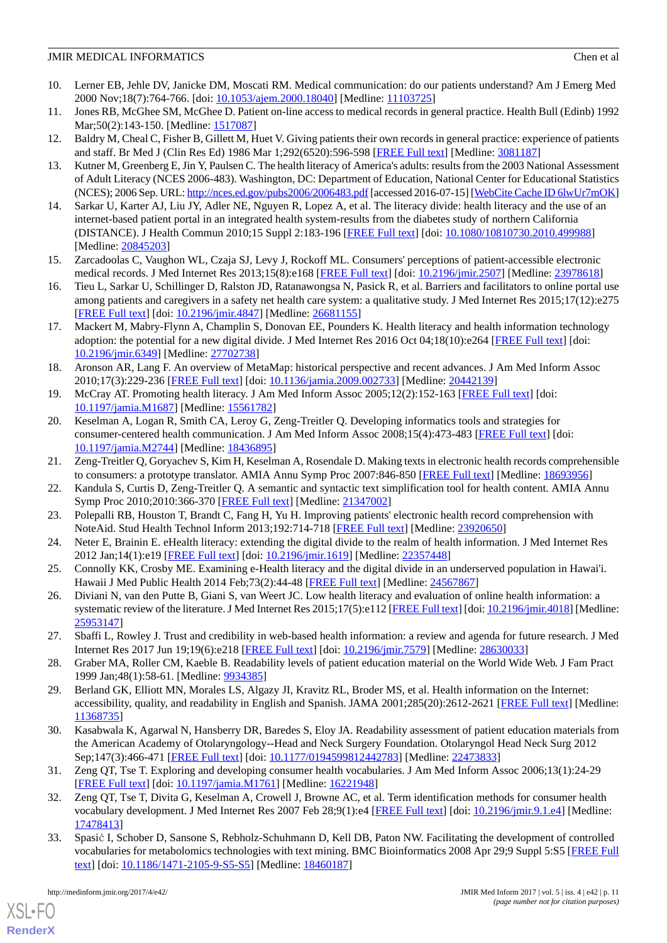- 10. Lerner EB, Jehle DV, Janicke DM, Moscati RM. Medical communication: do our patients understand? Am J Emerg Med 2000 Nov;18(7):764-766. [doi: [10.1053/ajem.2000.18040\]](http://dx.doi.org/10.1053/ajem.2000.18040) [Medline: [11103725\]](http://www.ncbi.nlm.nih.gov/entrez/query.fcgi?cmd=Retrieve&db=PubMed&list_uids=11103725&dopt=Abstract)
- <span id="page-10-0"></span>11. Jones RB, McGhee SM, McGhee D. Patient on-line access to medical records in general practice. Health Bull (Edinb) 1992 Mar; 50(2): 143-150. [Medline: [1517087\]](http://www.ncbi.nlm.nih.gov/entrez/query.fcgi?cmd=Retrieve&db=PubMed&list_uids=1517087&dopt=Abstract)
- <span id="page-10-1"></span>12. Baldry M, Cheal C, Fisher B, Gillett M, Huet V. Giving patients their own records in general practice: experience of patients and staff. Br Med J (Clin Res Ed) 1986 Mar 1;292(6520):596-598 [\[FREE Full text\]](http://europepmc.org/abstract/MED/3081187) [Medline: [3081187](http://www.ncbi.nlm.nih.gov/entrez/query.fcgi?cmd=Retrieve&db=PubMed&list_uids=3081187&dopt=Abstract)]
- <span id="page-10-2"></span>13. Kutner M, Greenberg E, Jin Y, Paulsen C. The health literacy of America's adults: results from the 2003 National Assessment of Adult Literacy (NCES 2006-483). Washington, DC: Department of Education, National Center for Educational Statistics (NCES); 2006 Sep. URL:<http://nces.ed.gov/pubs2006/2006483.pdf> [accessed 2016-07-15] [[WebCite Cache ID 6lwUr7mOK](http://www.webcitation.org/

                                6lwUr7mOK)]
- 14. Sarkar U, Karter AJ, Liu JY, Adler NE, Nguyen R, Lopez A, et al. The literacy divide: health literacy and the use of an internet-based patient portal in an integrated health system-results from the diabetes study of northern California (DISTANCE). J Health Commun 2010;15 Suppl 2:183-196 [\[FREE Full text](http://europepmc.org/abstract/MED/20845203)] [doi: [10.1080/10810730.2010.499988\]](http://dx.doi.org/10.1080/10810730.2010.499988) [Medline: [20845203](http://www.ncbi.nlm.nih.gov/entrez/query.fcgi?cmd=Retrieve&db=PubMed&list_uids=20845203&dopt=Abstract)]
- 15. Zarcadoolas C, Vaughon WL, Czaja SJ, Levy J, Rockoff ML. Consumers' perceptions of patient-accessible electronic medical records. J Med Internet Res 2013;15(8):e168 [[FREE Full text](http://www.jmir.org/2013/8/e168/)] [doi: [10.2196/jmir.2507\]](http://dx.doi.org/10.2196/jmir.2507) [Medline: [23978618](http://www.ncbi.nlm.nih.gov/entrez/query.fcgi?cmd=Retrieve&db=PubMed&list_uids=23978618&dopt=Abstract)]
- <span id="page-10-3"></span>16. Tieu L, Sarkar U, Schillinger D, Ralston JD, Ratanawongsa N, Pasick R, et al. Barriers and facilitators to online portal use among patients and caregivers in a safety net health care system: a qualitative study. J Med Internet Res 2015;17(12):e275 [[FREE Full text](http://www.jmir.org/2015/12/e275/)] [doi: [10.2196/jmir.4847](http://dx.doi.org/10.2196/jmir.4847)] [Medline: [26681155](http://www.ncbi.nlm.nih.gov/entrez/query.fcgi?cmd=Retrieve&db=PubMed&list_uids=26681155&dopt=Abstract)]
- <span id="page-10-4"></span>17. Mackert M, Mabry-Flynn A, Champlin S, Donovan EE, Pounders K. Health literacy and health information technology adoption: the potential for a new digital divide. J Med Internet Res 2016 Oct 04;18(10):e264 [\[FREE Full text](http://www.jmir.org/2016/10/e264/)] [doi: [10.2196/jmir.6349](http://dx.doi.org/10.2196/jmir.6349)] [Medline: [27702738](http://www.ncbi.nlm.nih.gov/entrez/query.fcgi?cmd=Retrieve&db=PubMed&list_uids=27702738&dopt=Abstract)]
- <span id="page-10-6"></span><span id="page-10-5"></span>18. Aronson AR, Lang F. An overview of MetaMap: historical perspective and recent advances. J Am Med Inform Assoc 2010;17(3):229-236 [[FREE Full text](http://jamia.oxfordjournals.org/lookup/pmidlookup?view=long&pmid=20442139)] [doi: [10.1136/jamia.2009.002733](http://dx.doi.org/10.1136/jamia.2009.002733)] [Medline: [20442139\]](http://www.ncbi.nlm.nih.gov/entrez/query.fcgi?cmd=Retrieve&db=PubMed&list_uids=20442139&dopt=Abstract)
- 19. McCray AT. Promoting health literacy. J Am Med Inform Assoc 2005;12(2):152-163 [\[FREE Full text\]](https://www.ncbi.nlm.nih.gov/pmc/articles/PMC551547/) [doi: [10.1197/jamia.M1687](http://dx.doi.org/10.1197/jamia.M1687)] [Medline: [15561782](http://www.ncbi.nlm.nih.gov/entrez/query.fcgi?cmd=Retrieve&db=PubMed&list_uids=15561782&dopt=Abstract)]
- <span id="page-10-8"></span><span id="page-10-7"></span>20. Keselman A, Logan R, Smith CA, Leroy G, Zeng-Treitler Q. Developing informatics tools and strategies for consumer-centered health communication. J Am Med Inform Assoc 2008;15(4):473-483 [\[FREE Full text\]](https://www.ncbi.nlm.nih.gov/pmc/articles/PMC2442255/) [doi: [10.1197/jamia.M2744](http://dx.doi.org/10.1197/jamia.M2744)] [Medline: [18436895](http://www.ncbi.nlm.nih.gov/entrez/query.fcgi?cmd=Retrieve&db=PubMed&list_uids=18436895&dopt=Abstract)]
- <span id="page-10-9"></span>21. Zeng-Treitler Q, Goryachev S, Kim H, Keselman A, Rosendale D. Making texts in electronic health records comprehensible to consumers: a prototype translator. AMIA Annu Symp Proc 2007:846-850 [\[FREE Full text\]](http://europepmc.org/abstract/MED/18693956) [Medline: [18693956\]](http://www.ncbi.nlm.nih.gov/entrez/query.fcgi?cmd=Retrieve&db=PubMed&list_uids=18693956&dopt=Abstract)
- <span id="page-10-10"></span>22. Kandula S, Curtis D, Zeng-Treitler Q. A semantic and syntactic text simplification tool for health content. AMIA Annu Symp Proc 2010;2010:366-370 [[FREE Full text](http://europepmc.org/abstract/MED/21347002)] [Medline: [21347002](http://www.ncbi.nlm.nih.gov/entrez/query.fcgi?cmd=Retrieve&db=PubMed&list_uids=21347002&dopt=Abstract)]
- 23. Polepalli RB, Houston T, Brandt C, Fang H, Yu H. Improving patients' electronic health record comprehension with NoteAid. Stud Health Technol Inform 2013;192:714-718 [\[FREE Full text\]](http://ebooks.iospress.nl/publication/34092) [Medline: [23920650\]](http://www.ncbi.nlm.nih.gov/entrez/query.fcgi?cmd=Retrieve&db=PubMed&list_uids=23920650&dopt=Abstract)
- 24. Neter E, Brainin E. eHealth literacy: extending the digital divide to the realm of health information. J Med Internet Res 2012 Jan;14(1):e19 [[FREE Full text](http://www.jmir.org/2012/1/e19/)] [doi: [10.2196/jmir.1619](http://dx.doi.org/10.2196/jmir.1619)] [Medline: [22357448](http://www.ncbi.nlm.nih.gov/entrez/query.fcgi?cmd=Retrieve&db=PubMed&list_uids=22357448&dopt=Abstract)]
- <span id="page-10-11"></span>25. Connolly KK, Crosby ME. Examining e-Health literacy and the digital divide in an underserved population in Hawai'i. Hawaii J Med Public Health 2014 Feb; 73(2): 44-48 [[FREE Full text](http://europepmc.org/abstract/MED/24567867)] [Medline: [24567867](http://www.ncbi.nlm.nih.gov/entrez/query.fcgi?cmd=Retrieve&db=PubMed&list_uids=24567867&dopt=Abstract)]
- <span id="page-10-12"></span>26. Diviani N, van den Putte B, Giani S, van Weert JC. Low health literacy and evaluation of online health information: a systematic review of the literature. J Med Internet Res 2015;17(5):e112 [\[FREE Full text](http://www.jmir.org/2015/5/e112/)] [doi: [10.2196/jmir.4018](http://dx.doi.org/10.2196/jmir.4018)] [Medline: [25953147](http://www.ncbi.nlm.nih.gov/entrez/query.fcgi?cmd=Retrieve&db=PubMed&list_uids=25953147&dopt=Abstract)]
- 27. Sbaffi L, Rowley J. Trust and credibility in web-based health information: a review and agenda for future research. J Med Internet Res 2017 Jun 19;19(6):e218 [\[FREE Full text](http://www.jmir.org/2017/6/e218/)] [doi: [10.2196/jmir.7579](http://dx.doi.org/10.2196/jmir.7579)] [Medline: [28630033](http://www.ncbi.nlm.nih.gov/entrez/query.fcgi?cmd=Retrieve&db=PubMed&list_uids=28630033&dopt=Abstract)]
- <span id="page-10-13"></span>28. Graber MA, Roller CM, Kaeble B. Readability levels of patient education material on the World Wide Web. J Fam Pract 1999 Jan;48(1):58-61. [Medline: [9934385\]](http://www.ncbi.nlm.nih.gov/entrez/query.fcgi?cmd=Retrieve&db=PubMed&list_uids=9934385&dopt=Abstract)
- <span id="page-10-14"></span>29. Berland GK, Elliott MN, Morales LS, Algazy JI, Kravitz RL, Broder MS, et al. Health information on the Internet: accessibility, quality, and readability in English and Spanish. JAMA 2001;285(20):2612-2621 [\[FREE Full text\]](https://www.ncbi.nlm.nih.gov/pmc/articles/PMC4182102/) [Medline: [11368735](http://www.ncbi.nlm.nih.gov/entrez/query.fcgi?cmd=Retrieve&db=PubMed&list_uids=11368735&dopt=Abstract)]
- <span id="page-10-15"></span>30. Kasabwala K, Agarwal N, Hansberry DR, Baredes S, Eloy JA. Readability assessment of patient education materials from the American Academy of Otolaryngology--Head and Neck Surgery Foundation. Otolaryngol Head Neck Surg 2012 Sep;147(3):466-471 [[FREE Full text](http://journals.sagepub.com/doi/pdf/10.1177/0194599812442783)] [doi: [10.1177/0194599812442783\]](http://dx.doi.org/10.1177/0194599812442783) [Medline: [22473833\]](http://www.ncbi.nlm.nih.gov/entrez/query.fcgi?cmd=Retrieve&db=PubMed&list_uids=22473833&dopt=Abstract)
- <span id="page-10-16"></span>31. Zeng QT, Tse T. Exploring and developing consumer health vocabularies. J Am Med Inform Assoc 2006;13(1):24-29 [[FREE Full text](https://www.ncbi.nlm.nih.gov/pmc/articles/PMC1380193/)] [doi: [10.1197/jamia.M1761](http://dx.doi.org/10.1197/jamia.M1761)] [Medline: [16221948](http://www.ncbi.nlm.nih.gov/entrez/query.fcgi?cmd=Retrieve&db=PubMed&list_uids=16221948&dopt=Abstract)]
- 32. Zeng QT, Tse T, Divita G, Keselman A, Crowell J, Browne AC, et al. Term identification methods for consumer health vocabulary development. J Med Internet Res 2007 Feb 28;9(1):e4 [\[FREE Full text\]](http://www.jmir.org/2007/1/e4/) [doi: [10.2196/jmir.9.1.e4](http://dx.doi.org/10.2196/jmir.9.1.e4)] [Medline: [17478413](http://www.ncbi.nlm.nih.gov/entrez/query.fcgi?cmd=Retrieve&db=PubMed&list_uids=17478413&dopt=Abstract)]
- 33. Spasić I, Schober D, Sansone S, Rebholz-Schuhmann D, Kell DB, Paton NW. Facilitating the development of controlled vocabularies for metabolomics technologies with text mining. BMC Bioinformatics 2008 Apr 29;9 Suppl 5:S5 [[FREE Full](https://bmcbioinformatics.biomedcentral.com/articles/10.1186/1471-2105-9-S5-S5) [text](https://bmcbioinformatics.biomedcentral.com/articles/10.1186/1471-2105-9-S5-S5)] [doi: [10.1186/1471-2105-9-S5-S5](http://dx.doi.org/10.1186/1471-2105-9-S5-S5)] [Medline: [18460187](http://www.ncbi.nlm.nih.gov/entrez/query.fcgi?cmd=Retrieve&db=PubMed&list_uids=18460187&dopt=Abstract)]

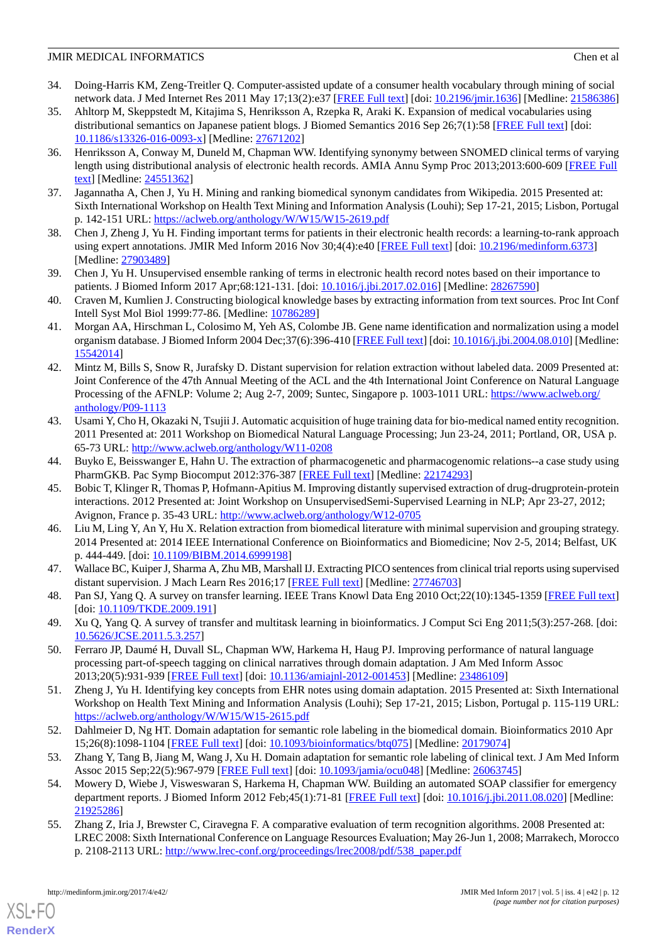- 34. Doing-Harris KM, Zeng-Treitler Q. Computer-assisted update of a consumer health vocabulary through mining of social network data. J Med Internet Res 2011 May 17;13(2):e37 [\[FREE Full text](http://www.jmir.org/2011/2/e37/)] [doi: [10.2196/jmir.1636\]](http://dx.doi.org/10.2196/jmir.1636) [Medline: [21586386](http://www.ncbi.nlm.nih.gov/entrez/query.fcgi?cmd=Retrieve&db=PubMed&list_uids=21586386&dopt=Abstract)]
- <span id="page-11-0"></span>35. Ahltorp M, Skeppstedt M, Kitajima S, Henriksson A, Rzepka R, Araki K. Expansion of medical vocabularies using distributional semantics on Japanese patient blogs. J Biomed Semantics 2016 Sep 26;7(1):58 [\[FREE Full text\]](https://jbiomedsem.biomedcentral.com/articles/10.1186/s13326-016-0093-x) [doi: [10.1186/s13326-016-0093-x\]](http://dx.doi.org/10.1186/s13326-016-0093-x) [Medline: [27671202](http://www.ncbi.nlm.nih.gov/entrez/query.fcgi?cmd=Retrieve&db=PubMed&list_uids=27671202&dopt=Abstract)]
- 36. Henriksson A, Conway M, Duneld M, Chapman WW. Identifying synonymy between SNOMED clinical terms of varying length using distributional analysis of electronic health records. AMIA Annu Symp Proc 2013;2013:600-609 [[FREE Full](http://europepmc.org/abstract/MED/24551362) [text](http://europepmc.org/abstract/MED/24551362)] [Medline: [24551362](http://www.ncbi.nlm.nih.gov/entrez/query.fcgi?cmd=Retrieve&db=PubMed&list_uids=24551362&dopt=Abstract)]
- <span id="page-11-2"></span><span id="page-11-1"></span>37. Jagannatha A, Chen J, Yu H. Mining and ranking biomedical synonym candidates from Wikipedia. 2015 Presented at: Sixth International Workshop on Health Text Mining and Information Analysis (Louhi); Sep 17-21, 2015; Lisbon, Portugal p. 142-151 URL: <https://aclweb.org/anthology/W/W15/W15-2619.pdf>
- <span id="page-11-3"></span>38. Chen J, Zheng J, Yu H. Finding important terms for patients in their electronic health records: a learning-to-rank approach using expert annotations. JMIR Med Inform 2016 Nov 30;4(4):e40 [\[FREE Full text](http://medinform.jmir.org/2016/4/e40/)] [doi: [10.2196/medinform.6373\]](http://dx.doi.org/10.2196/medinform.6373) [Medline: [27903489](http://www.ncbi.nlm.nih.gov/entrez/query.fcgi?cmd=Retrieve&db=PubMed&list_uids=27903489&dopt=Abstract)]
- <span id="page-11-4"></span>39. Chen J, Yu H. Unsupervised ensemble ranking of terms in electronic health record notes based on their importance to patients. J Biomed Inform 2017 Apr;68:121-131. [doi: [10.1016/j.jbi.2017.02.016](http://dx.doi.org/10.1016/j.jbi.2017.02.016)] [Medline: [28267590](http://www.ncbi.nlm.nih.gov/entrez/query.fcgi?cmd=Retrieve&db=PubMed&list_uids=28267590&dopt=Abstract)]
- <span id="page-11-6"></span>40. Craven M, Kumlien J. Constructing biological knowledge bases by extracting information from text sources. Proc Int Conf Intell Syst Mol Biol 1999:77-86. [Medline: [10786289\]](http://www.ncbi.nlm.nih.gov/entrez/query.fcgi?cmd=Retrieve&db=PubMed&list_uids=10786289&dopt=Abstract)
- <span id="page-11-5"></span>41. Morgan AA, Hirschman L, Colosimo M, Yeh AS, Colombe JB. Gene name identification and normalization using a model organism database. J Biomed Inform 2004 Dec;37(6):396-410 [\[FREE Full text\]](https://linkinghub.elsevier.com/retrieve/pii/S1532-0464(04)00087-5) [doi: [10.1016/j.jbi.2004.08.010\]](http://dx.doi.org/10.1016/j.jbi.2004.08.010) [Medline: [15542014](http://www.ncbi.nlm.nih.gov/entrez/query.fcgi?cmd=Retrieve&db=PubMed&list_uids=15542014&dopt=Abstract)]
- <span id="page-11-7"></span>42. Mintz M, Bills S, Snow R, Jurafsky D. Distant supervision for relation extraction without labeled data. 2009 Presented at: Joint Conference of the 47th Annual Meeting of the ACL and the 4th International Joint Conference on Natural Language Processing of the AFNLP: Volume 2; Aug 2-7, 2009; Suntec, Singapore p. 1003-1011 URL: [https://www.aclweb.org/](https://www.aclweb.org/anthology/P09-1113) [anthology/P09-1113](https://www.aclweb.org/anthology/P09-1113)
- <span id="page-11-8"></span>43. Usami Y, Cho H, Okazaki N, Tsujii J. Automatic acquisition of huge training data for bio-medical named entity recognition. 2011 Presented at: 2011 Workshop on Biomedical Natural Language Processing; Jun 23-24, 2011; Portland, OR, USA p. 65-73 URL: <http://www.aclweb.org/anthology/W11-0208>
- 44. Buyko E, Beisswanger E, Hahn U. The extraction of pharmacogenetic and pharmacogenomic relations--a case study using PharmGKB. Pac Symp Biocomput 2012:376-387 [\[FREE Full text\]](http://psb.stanford.edu/psb-online/proceedings/psb12/abstracts/2012_p376.html) [Medline: [22174293](http://www.ncbi.nlm.nih.gov/entrez/query.fcgi?cmd=Retrieve&db=PubMed&list_uids=22174293&dopt=Abstract)]
- <span id="page-11-9"></span>45. Bobic T, Klinger R, Thomas P, Hofmann-Apitius M. Improving distantly supervised extraction of drug-drugprotein-protein interactions. 2012 Presented at: Joint Workshop on UnsupervisedSemi-Supervised Learning in NLP; Apr 23-27, 2012; Avignon, France p. 35-43 URL: <http://www.aclweb.org/anthology/W12-0705>
- <span id="page-11-11"></span><span id="page-11-10"></span>46. Liu M, Ling Y, An Y, Hu X. Relation extraction from biomedical literature with minimal supervision and grouping strategy. 2014 Presented at: 2014 IEEE International Conference on Bioinformatics and Biomedicine; Nov 2-5, 2014; Belfast, UK p. 444-449. [doi: [10.1109/BIBM.2014.6999198](http://dx.doi.org/10.1109/BIBM.2014.6999198)]
- <span id="page-11-12"></span>47. Wallace BC, Kuiper J, Sharma A, Zhu MB, Marshall IJ. Extracting PICO sentences from clinical trial reports using supervised distant supervision. J Mach Learn Res 2016;17 [\[FREE Full text\]](http://europepmc.org/abstract/MED/27746703) [Medline: [27746703\]](http://www.ncbi.nlm.nih.gov/entrez/query.fcgi?cmd=Retrieve&db=PubMed&list_uids=27746703&dopt=Abstract)
- <span id="page-11-13"></span>48. Pan SJ, Yang Q. A survey on transfer learning. IEEE Trans Knowl Data Eng 2010 Oct; 22(10):1345-1359 [\[FREE Full text](https://www.cse.ust.hk/~qyang/Docs/2009/tkde_transfer_learning.pdf)] [doi: [10.1109/TKDE.2009.191\]](http://dx.doi.org/10.1109/TKDE.2009.191)
- <span id="page-11-14"></span>49. Xu Q, Yang Q. A survey of transfer and multitask learning in bioinformatics. J Comput Sci Eng 2011;5(3):257-268. [doi: [10.5626/JCSE.2011.5.3.257](http://dx.doi.org/10.5626/JCSE.2011.5.3.257)]
- <span id="page-11-15"></span>50. Ferraro JP, Daumé H, Duvall SL, Chapman WW, Harkema H, Haug PJ. Improving performance of natural language processing part-of-speech tagging on clinical narratives through domain adaptation. J Am Med Inform Assoc 2013;20(5):931-939 [[FREE Full text](http://europepmc.org/abstract/MED/23486109)] [doi: [10.1136/amiajnl-2012-001453](http://dx.doi.org/10.1136/amiajnl-2012-001453)] [Medline: [23486109](http://www.ncbi.nlm.nih.gov/entrez/query.fcgi?cmd=Retrieve&db=PubMed&list_uids=23486109&dopt=Abstract)]
- <span id="page-11-17"></span><span id="page-11-16"></span>51. Zheng J, Yu H. Identifying key concepts from EHR notes using domain adaptation. 2015 Presented at: Sixth International Workshop on Health Text Mining and Information Analysis (Louhi); Sep 17-21, 2015; Lisbon, Portugal p. 115-119 URL: <https://aclweb.org/anthology/W/W15/W15-2615.pdf>
- <span id="page-11-18"></span>52. Dahlmeier D, Ng HT. Domain adaptation for semantic role labeling in the biomedical domain. Bioinformatics 2010 Apr 15;26(8):1098-1104 [[FREE Full text](https://academic.oup.com/bioinformatics/article-lookup/doi/10.1093/bioinformatics/btq075)] [doi: [10.1093/bioinformatics/btq075\]](http://dx.doi.org/10.1093/bioinformatics/btq075) [Medline: [20179074](http://www.ncbi.nlm.nih.gov/entrez/query.fcgi?cmd=Retrieve&db=PubMed&list_uids=20179074&dopt=Abstract)]
- 53. Zhang Y, Tang B, Jiang M, Wang J, Xu H. Domain adaptation for semantic role labeling of clinical text. J Am Med Inform Assoc 2015 Sep;22(5):967-979 [\[FREE Full text\]](http://europepmc.org/abstract/MED/26063745) [doi: [10.1093/jamia/ocu048\]](http://dx.doi.org/10.1093/jamia/ocu048) [Medline: [26063745](http://www.ncbi.nlm.nih.gov/entrez/query.fcgi?cmd=Retrieve&db=PubMed&list_uids=26063745&dopt=Abstract)]
- 54. Mowery D, Wiebe J, Visweswaran S, Harkema H, Chapman WW. Building an automated SOAP classifier for emergency department reports. J Biomed Inform 2012 Feb;45(1):71-81 [[FREE Full text\]](https://linkinghub.elsevier.com/retrieve/pii/S1532-0464(11)00147-X) [doi: [10.1016/j.jbi.2011.08.020\]](http://dx.doi.org/10.1016/j.jbi.2011.08.020) [Medline: [21925286](http://www.ncbi.nlm.nih.gov/entrez/query.fcgi?cmd=Retrieve&db=PubMed&list_uids=21925286&dopt=Abstract)]
- 55. Zhang Z, Iria J, Brewster C, Ciravegna F. A comparative evaluation of term recognition algorithms. 2008 Presented at: LREC 2008: Sixth International Conference on Language Resources Evaluation; May 26-Jun 1, 2008; Marrakech, Morocco p. 2108-2113 URL: [http://www.lrec-conf.org/proceedings/lrec2008/pdf/538\\_paper.pdf](http://www.lrec-conf.org/proceedings/lrec2008/pdf/538_paper.pdf)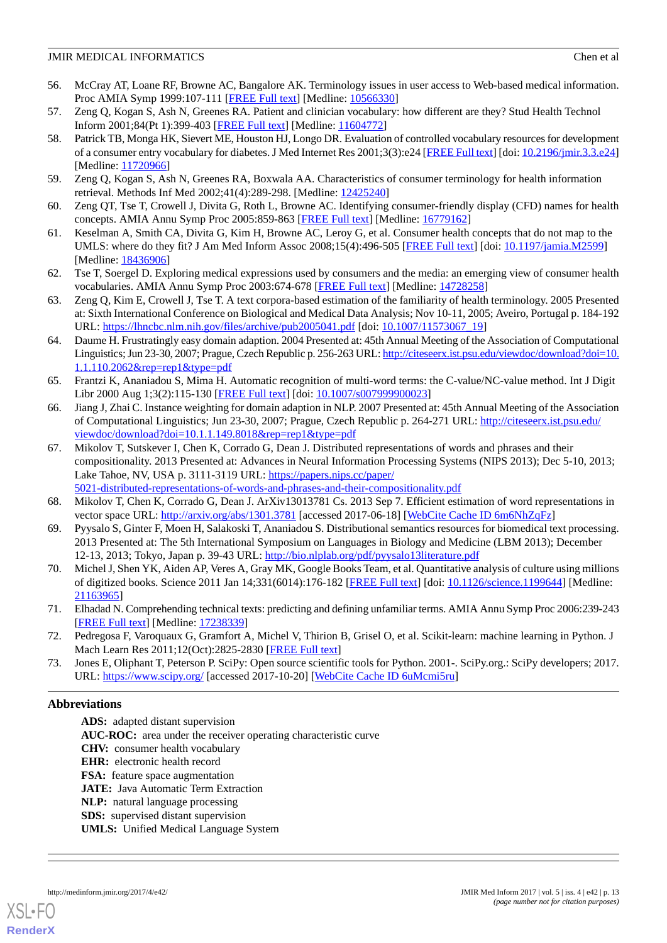- <span id="page-12-0"></span>56. McCray AT, Loane RF, Browne AC, Bangalore AK. Terminology issues in user access to Web-based medical information. Proc AMIA Symp 1999:107-111 [\[FREE Full text\]](http://europepmc.org/abstract/MED/10566330) [Medline: [10566330](http://www.ncbi.nlm.nih.gov/entrez/query.fcgi?cmd=Retrieve&db=PubMed&list_uids=10566330&dopt=Abstract)]
- 57. Zeng Q, Kogan S, Ash N, Greenes RA. Patient and clinician vocabulary: how different are they? Stud Health Technol Inform 2001;84(Pt 1):399-403 [\[FREE Full text](http://ebooks.iospress.nl/publication/19512)] [Medline: [11604772](http://www.ncbi.nlm.nih.gov/entrez/query.fcgi?cmd=Retrieve&db=PubMed&list_uids=11604772&dopt=Abstract)]
- 58. Patrick TB, Monga HK, Sievert ME, Houston HJ, Longo DR. Evaluation of controlled vocabulary resources for development of a consumer entry vocabulary for diabetes. J Med Internet Res 2001;3(3):e24 [[FREE Full text](http://www.jmir.org/2001/3/e24/)] [doi: [10.2196/jmir.3.3.e24](http://dx.doi.org/10.2196/jmir.3.3.e24)] [Medline: [11720966](http://www.ncbi.nlm.nih.gov/entrez/query.fcgi?cmd=Retrieve&db=PubMed&list_uids=11720966&dopt=Abstract)]
- <span id="page-12-2"></span><span id="page-12-1"></span>59. Zeng Q, Kogan S, Ash N, Greenes RA, Boxwala AA. Characteristics of consumer terminology for health information retrieval. Methods Inf Med 2002;41(4):289-298. [Medline: [12425240](http://www.ncbi.nlm.nih.gov/entrez/query.fcgi?cmd=Retrieve&db=PubMed&list_uids=12425240&dopt=Abstract)]
- <span id="page-12-3"></span>60. Zeng QT, Tse T, Crowell J, Divita G, Roth L, Browne AC. Identifying consumer-friendly display (CFD) names for health concepts. AMIA Annu Symp Proc 2005:859-863 [[FREE Full text](http://europepmc.org/abstract/MED/16779162)] [Medline: [16779162](http://www.ncbi.nlm.nih.gov/entrez/query.fcgi?cmd=Retrieve&db=PubMed&list_uids=16779162&dopt=Abstract)]
- <span id="page-12-4"></span>61. Keselman A, Smith CA, Divita G, Kim H, Browne AC, Leroy G, et al. Consumer health concepts that do not map to the UMLS: where do they fit? J Am Med Inform Assoc 2008;15(4):496-505 [\[FREE Full text\]](https://www.ncbi.nlm.nih.gov/pmc/articles/PMC2442253/) [doi: [10.1197/jamia.M2599](http://dx.doi.org/10.1197/jamia.M2599)] [Medline: [18436906](http://www.ncbi.nlm.nih.gov/entrez/query.fcgi?cmd=Retrieve&db=PubMed&list_uids=18436906&dopt=Abstract)]
- <span id="page-12-5"></span>62. Tse T, Soergel D. Exploring medical expressions used by consumers and the media: an emerging view of consumer health vocabularies. AMIA Annu Symp Proc 2003:674-678 [\[FREE Full text\]](http://europepmc.org/abstract/MED/14728258) [Medline: [14728258](http://www.ncbi.nlm.nih.gov/entrez/query.fcgi?cmd=Retrieve&db=PubMed&list_uids=14728258&dopt=Abstract)]
- <span id="page-12-6"></span>63. Zeng Q, Kim E, Crowell J, Tse T. A text corpora-based estimation of the familiarity of health terminology. 2005 Presented at: Sixth International Conference on Biological and Medical Data Analysis; Nov 10-11, 2005; Aveiro, Portugal p. 184-192 URL: <https://lhncbc.nlm.nih.gov/files/archive/pub2005041.pdf> [doi: [10.1007/11573067\\_19](http://dx.doi.org/10.1007/11573067_19)]
- <span id="page-12-7"></span>64. Daume H. Frustratingly easy domain adaption. 2004 Presented at: 45th Annual Meeting of the Association of Computational Linguistics; Jun 23-30, 2007; Prague, Czech Republic p. 256-263 URL: [http://citeseerx.ist.psu.edu/viewdoc/download?doi=10.](http://citeseerx.ist.psu.edu/viewdoc/download?doi=10.1.1.110.2062&rep=rep1&type=pdf) [1.1.110.2062&rep=rep1&type=pdf](http://citeseerx.ist.psu.edu/viewdoc/download?doi=10.1.1.110.2062&rep=rep1&type=pdf)
- <span id="page-12-8"></span>65. Frantzi K, Ananiadou S, Mima H. Automatic recognition of multi-word terms: the C-value/NC-value method. Int J Digit Libr 2000 Aug 1;3(2):115-130 [[FREE Full text](http://personalpages.manchester.ac.uk/staff/sophia.ananiadou/ijodl2000.pdf)] [doi: [10.1007/s007999900023\]](http://dx.doi.org/10.1007/s007999900023)
- <span id="page-12-9"></span>66. Jiang J, Zhai C. Instance weighting for domain adaption in NLP. 2007 Presented at: 45th Annual Meeting of the Association of Computational Linguistics; Jun 23-30, 2007; Prague, Czech Republic p. 264-271 URL: [http://citeseerx.ist.psu.edu/](http://citeseerx.ist.psu.edu/viewdoc/download?doi=10.1.1.149.8018&rep=rep1&type=pdf) [viewdoc/download?doi=10.1.1.149.8018&rep=rep1&type=pdf](http://citeseerx.ist.psu.edu/viewdoc/download?doi=10.1.1.149.8018&rep=rep1&type=pdf)
- <span id="page-12-10"></span>67. Mikolov T, Sutskever I, Chen K, Corrado G, Dean J. Distributed representations of words and phrases and their compositionality. 2013 Presented at: Advances in Neural Information Processing Systems (NIPS 2013); Dec 5-10, 2013; Lake Tahoe, NV, USA p. 3111-3119 URL: [https://papers.nips.cc/paper/](https://papers.nips.cc/paper/5021-distributed-representations-of-words-and-phrases-and-their-compositionality.pdf) [5021-distributed-representations-of-words-and-phrases-and-their-compositionality.pdf](https://papers.nips.cc/paper/5021-distributed-representations-of-words-and-phrases-and-their-compositionality.pdf)
- <span id="page-12-12"></span><span id="page-12-11"></span>68. Mikolov T, Chen K, Corrado G, Dean J. ArXiv13013781 Cs. 2013 Sep 7. Efficient estimation of word representations in vector space URL: <http://arxiv.org/abs/1301.3781> [accessed 2017-06-18] [[WebCite Cache ID 6m6NhZqFz](http://www.webcitation.org/

                                6m6NhZqFz)]
- <span id="page-12-13"></span>69. Pyysalo S, Ginter F, Moen H, Salakoski T, Ananiadou S. Distributional semantics resources for biomedical text processing. 2013 Presented at: The 5th International Symposium on Languages in Biology and Medicine (LBM 2013); December 12-13, 2013; Tokyo, Japan p. 39-43 URL: <http://bio.nlplab.org/pdf/pyysalo13literature.pdf>
- <span id="page-12-14"></span>70. Michel J, Shen YK, Aiden AP, Veres A, Gray MK, Google Books Team, et al. Quantitative analysis of culture using millions of digitized books. Science 2011 Jan 14;331(6014):176-182 [\[FREE Full text](http://www.sciencemag.org/cgi/pmidlookup?view=long&pmid=21163965)] [doi: [10.1126/science.1199644\]](http://dx.doi.org/10.1126/science.1199644) [Medline: [21163965](http://www.ncbi.nlm.nih.gov/entrez/query.fcgi?cmd=Retrieve&db=PubMed&list_uids=21163965&dopt=Abstract)]
- <span id="page-12-15"></span>71. Elhadad N. Comprehending technical texts: predicting and defining unfamiliar terms. AMIA Annu Symp Proc 2006:239-243 [[FREE Full text](http://europepmc.org/abstract/MED/17238339)] [Medline: [17238339](http://www.ncbi.nlm.nih.gov/entrez/query.fcgi?cmd=Retrieve&db=PubMed&list_uids=17238339&dopt=Abstract)]
- 72. Pedregosa F, Varoquaux G, Gramfort A, Michel V, Thirion B, Grisel O, et al. Scikit-learn: machine learning in Python. J Mach Learn Res 2011;12(Oct):2825-2830 [[FREE Full text](http://www.jmlr.org/papers/volume12/pedregosa11a/pedregosa11a.pdf)]
- 73. Jones E, Oliphant T, Peterson P. SciPy: Open source scientific tools for Python. 2001-. SciPy.org.: SciPy developers; 2017. URL: <https://www.scipy.org/> [accessed 2017-10-20] [\[WebCite Cache ID 6uMcmi5ru](http://www.webcitation.org/

                                6uMcmi5ru)]

## **Abbreviations**

**ADS:** adapted distant supervision **AUC-ROC:** area under the receiver operating characteristic curve **CHV:** consumer health vocabulary **EHR:** electronic health record **FSA:** feature space augmentation

- **JATE:** Java Automatic Term Extraction
- **NLP:** natural language processing
- **SDS:** supervised distant supervision
- **UMLS:** Unified Medical Language System